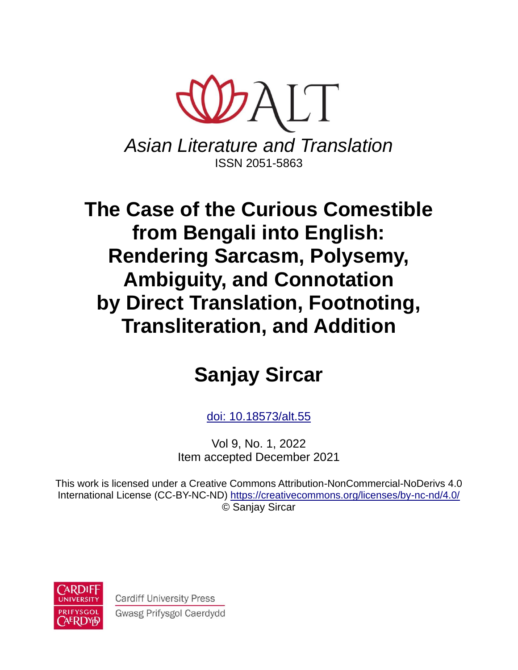

*Asian Literature and Translation* ISSN 2051-5863

# **The Case of the Curious Comestible from Bengali into English: Rendering Sarcasm, Polysemy, Ambiguity, and Connotation by Direct Translation, Footnoting, Transliteration, and Addition**

# **Sanjay Sircar**

[doi:](https://doi.org/10.18573/alt.38) 10.18573/alt.55

Vol 9, No. 1, 2022 Item accepted December 2021

This work is licensed under a Creative Commons Attribution-NonCommercial-NoDerivs 4.0 International License (CC-BY-NC-ND)<https://creativecommons.org/licenses/by-nc-nd/4.0/> © Sanjay Sircar



**Cardiff University Press** Gwasg Prifysgol Caerdydd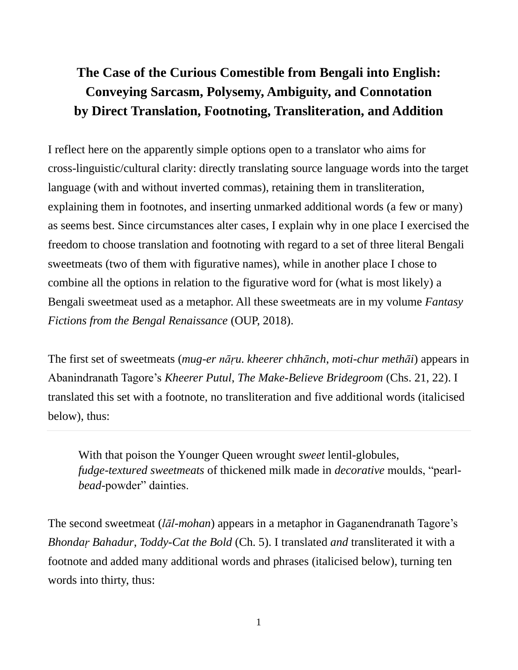# **The Case of the Curious Comestible from Bengali into English: Conveying Sarcasm, Polysemy, Ambiguity, and Connotation by Direct Translation, Footnoting, Transliteration, and Addition**

I reflect here on the apparently simple options open to a translator who aims for cross-linguistic/cultural clarity: directly translating source language words into the target language (with and without inverted commas), retaining them in transliteration, explaining them in footnotes, and inserting unmarked additional words (a few or many) as seems best. Since circumstances alter cases, I explain why in one place I exercised the freedom to choose translation and footnoting with regard to a set of three literal Bengali sweetmeats (two of them with figurative names), while in another place I chose to combine all the options in relation to the figurative word for (what is most likely) a Bengali sweetmeat used as a metaphor. All these sweetmeats are in my volume *Fantasy Fictions from the Bengal Renaissance* (OUP, 2018).

The first set of sweetmeats (*mug-er nāṛu. kheerer chhānch*, *moti-chur methāi*) appears in Abanindranath Tagore's *Kheerer Putul*, *The Make-Believe Bridegroom* (Chs. 21, 22). I translated this set with a footnote, no transliteration and five additional words (italicised below), thus:

With that poison the Younger Queen wrought *sweet* lentil-globules, *fudge-textured sweetmeats* of thickened milk made in *decorative* moulds, "pearl*bead*-powder" dainties.

The second sweetmeat (*lāl-mohan*) appears in a metaphor in Gaganendranath Tagore's *Bhondaṛ Bahadur*, *Toddy-Cat the Bold* (Ch. 5). I translated *and* transliterated it with a footnote and added many additional words and phrases (italicised below), turning ten words into thirty, thus: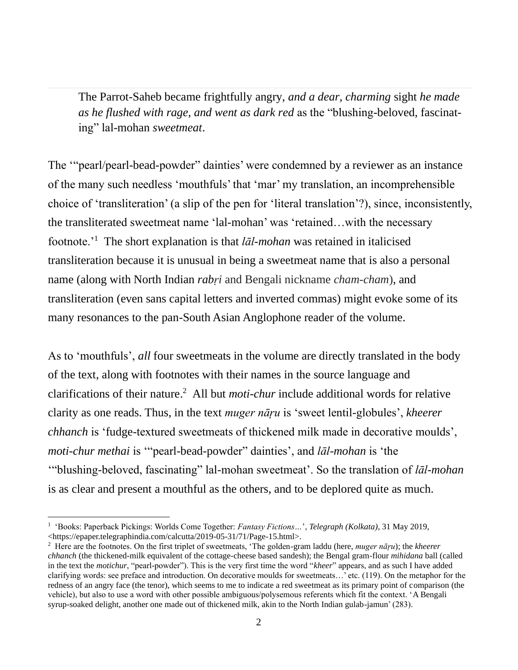The Parrot-Saheb became frightfully angry, *and a dear, charming* sight *he made as he flushed with rage, and went as dark red* as the "blushing-beloved, fascinating" lal-mohan *sweetmeat*.

The '"pearl/pearl-bead-powder" dainties' were condemned by a reviewer as an instance of the many such needless 'mouthfuls' that 'mar' my translation, an incomprehensible choice of 'transliteration' (a slip of the pen for 'literal translation'?), since, inconsistently, the transliterated sweetmeat name 'lal-mohan' was 'retained…with the necessary footnote.'<sup>1</sup> The short explanation is that *lāl-mohan* was retained in italicised transliteration because it is unusual in being a sweetmeat name that is also a personal name (along with North Indian *rabṛi* and Bengali nickname *cham-cham*), and transliteration (even sans capital letters and inverted commas) might evoke some of its many resonances to the pan-South Asian Anglophone reader of the volume.

As to 'mouthfuls', *all* four sweetmeats in the volume are directly translated in the body of the text, along with footnotes with their names in the source language and clarifications of their nature. <sup>2</sup> All but *moti-chur* include additional words for relative clarity as one reads. Thus, in the text *muger nāŗu* is 'sweet lentil-globules', *kheerer chhanch* is 'fudge-textured sweetmeats of thickened milk made in decorative moulds', *moti-chur methai* is '"pearl-bead-powder" dainties', and *lāl-mohan* is 'the '"blushing-beloved, fascinating" lal-mohan sweetmeat'. So the translation of *lāl-mohan* is as clear and present a mouthful as the others, and to be deplored quite as much.

<sup>1</sup> 'Books: Paperback Pickings: Worlds Come Together: *Fantasy Fictions…*', *Telegraph (Kolkata)*, 31 May 2019, [<https://epaper.telegraphindia.com/calcutta/2019-05-31/71/Page-15.html>](https://epaper.telegraphindia.com/calcutta/2019-05-31/71/Page-15.html).

<sup>2</sup> Here are the footnotes. On the first triplet of sweetmeats, 'The golden-gram laddu (here, *muger nāŗu*); the *kheerer chhanch* (the thickened-milk equivalent of the cottage-cheese based sandesh); the Bengal gram-flour *mihidana* ball (called in the text the *motichur*, "pearl-powder"). This is the very first time the word "*kheer*" appears, and as such I have added clarifying words: see preface and introduction. On decorative moulds for sweetmeats…' etc. (119). On the metaphor for the redness of an angry face (the tenor), which seems to me to indicate a red sweetmeat as its primary point of comparison (the vehicle), but also to use a word with other possible ambiguous/polysemous referents which fit the context. 'A Bengali syrup-soaked delight, another one made out of thickened milk, akin to the North Indian gulab-jamun' (283).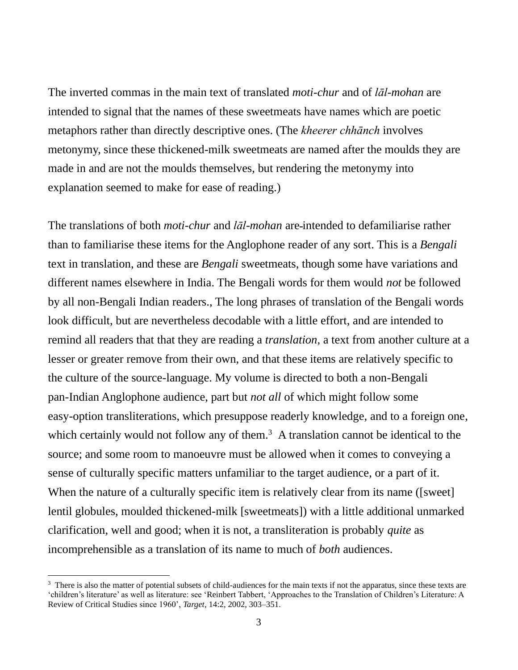The inverted commas in the main text of translated *moti-chur* and of *lāl-mohan* are intended to signal that the names of these sweetmeats have names which are poetic metaphors rather than directly descriptive ones. (The *kheerer chhānch* involves metonymy, since these thickened-milk sweetmeats are named after the moulds they are made in and are not the moulds themselves, but rendering the metonymy into explanation seemed to make for ease of reading.)

The translations of both *moti-chur* and *lāl-mohan* are intended to defamiliarise rather than to familiarise these items for the Anglophone reader of any sort. This is a *Bengali* text in translation, and these are *Bengali* sweetmeats, though some have variations and different names elsewhere in India. The Bengali words for them would *not* be followed by all non-Bengali Indian readers., The long phrases of translation of the Bengali words look difficult, but are nevertheless decodable with a little effort, and are intended to remind all readers that that they are reading a *translation*, a text from another culture at a lesser or greater remove from their own, and that these items are relatively specific to the culture of the source-language. My volume is directed to both a non-Bengali pan-Indian Anglophone audience, part but *not all* of which might follow some easy-option transliterations, which presuppose readerly knowledge, and to a foreign one, which certainly would not follow any of them.<sup>3</sup> A translation cannot be identical to the source; and some room to manoeuvre must be allowed when it comes to conveying a sense of culturally specific matters unfamiliar to the target audience, or a part of it. When the nature of a culturally specific item is relatively clear from its name ([sweet] lentil globules, moulded thickened-milk [sweetmeats]) with a little additional unmarked clarification, well and good; when it is not, a transliteration is probably *quite* as incomprehensible as a translation of its name to much of *both* audiences.

<sup>&</sup>lt;sup>3</sup> There is also the matter of potential subsets of child-audiences for the main texts if not the apparatus, since these texts are 'children's literature' as well as literature: see 'Reinbert Tabbert, 'Approaches to the Translation of Children's Literature: A Review of Critical Studies since 1960', *Target*, 14:2, 2002, 303–351.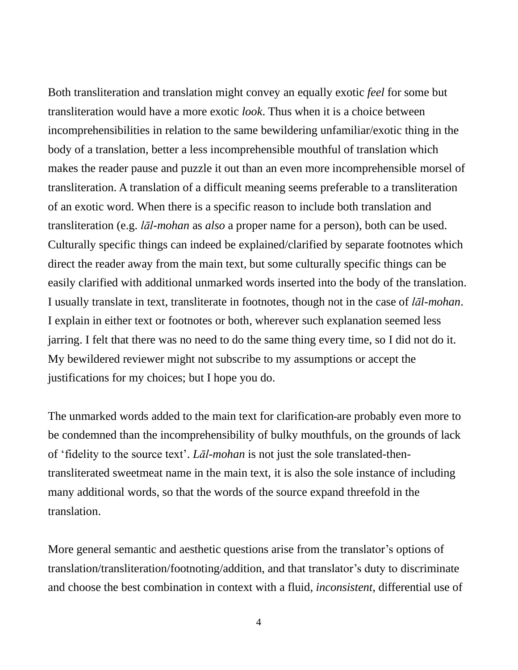Both transliteration and translation might convey an equally exotic *feel* for some but transliteration would have a more exotic *look*. Thus when it is a choice between incomprehensibilities in relation to the same bewildering unfamiliar/exotic thing in the body of a translation, better a less incomprehensible mouthful of translation which makes the reader pause and puzzle it out than an even more incomprehensible morsel of transliteration. A translation of a difficult meaning seems preferable to a transliteration of an exotic word. When there is a specific reason to include both translation and transliteration (e.g. *lāl-mohan* as *also* a proper name for a person), both can be used. Culturally specific things can indeed be explained/clarified by separate footnotes which direct the reader away from the main text, but some culturally specific things can be easily clarified with additional unmarked words inserted into the body of the translation. I usually translate in text, transliterate in footnotes, though not in the case of *lāl-mohan*. I explain in either text or footnotes or both, wherever such explanation seemed less jarring. I felt that there was no need to do the same thing every time, so I did not do it. My bewildered reviewer might not subscribe to my assumptions or accept the justifications for my choices; but I hope you do.

The unmarked words added to the main text for clarification are probably even more to be condemned than the incomprehensibility of bulky mouthfuls, on the grounds of lack of 'fidelity to the source text'. *Lāl-mohan* is not just the sole translated-thentransliterated sweetmeat name in the main text, it is also the sole instance of including many additional words, so that the words of the source expand threefold in the translation.

More general semantic and aesthetic questions arise from the translator's options of translation/transliteration/footnoting/addition, and that translator's duty to discriminate and choose the best combination in context with a fluid, *inconsistent*, differential use of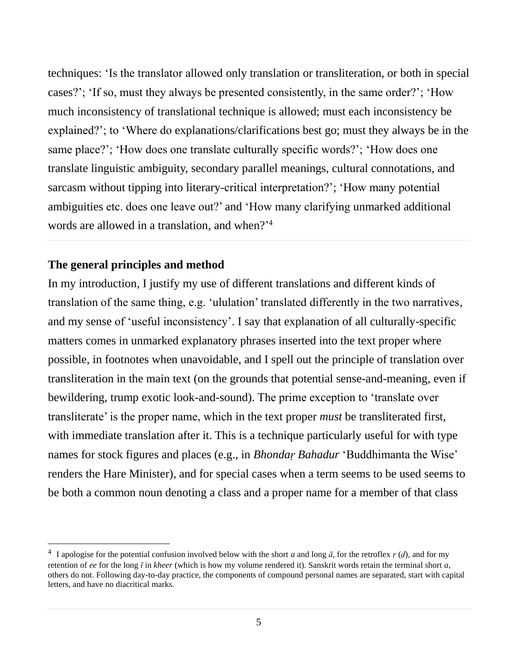techniques: 'Is the translator allowed only translation or transliteration, or both in special cases?'; 'If so, must they always be presented consistently, in the same order?'; 'How much inconsistency of translational technique is allowed; must each inconsistency be explained?'; to 'Where do explanations/clarifications best go; must they always be in the same place?'; 'How does one translate culturally specific words?'; 'How does one translate linguistic ambiguity, secondary parallel meanings, cultural connotations, and sarcasm without tipping into literary-critical interpretation?'; 'How many potential ambiguities etc. does one leave out?' and 'How many clarifying unmarked additional words are allowed in a translation, and when?' 4

#### **The general principles and method**

In my introduction, I justify my use of different translations and different kinds of translation of the same thing, e.g. 'ululation' translated differently in the two narratives, and my sense of 'useful inconsistency'. I say that explanation of all culturally-specific matters comes in unmarked explanatory phrases inserted into the text proper where possible, in footnotes when unavoidable, and I spell out the principle of translation over transliteration in the main text (on the grounds that potential sense-and-meaning, even if bewildering, trump exotic look-and-sound). The prime exception to 'translate over transliterate' is the proper name, which in the text proper *must* be transliterated first, with immediate translation after it. This is a technique particularly useful for with type names for stock figures and places (e.g., in *Bhondaṛ Bahadur* 'Buddhimanta the Wise' renders the Hare Minister), and for special cases when a term seems to be used seems to be both a common noun denoting a class and a proper name for a member of that class

<sup>&</sup>lt;sup>4</sup> I apologise for the potential confusion involved below with the short *a* and long  $\bar{a}$ , for the retroflex *r* (*d*), and for my retention of *ee* for the long *ī* in *kheer* (which is how my volume rendered it). Sanskrit words retain the terminal short *a*, others do not. Following day-to-day practice, the components of compound personal names are separated, start with capital letters, and have no diacritical marks.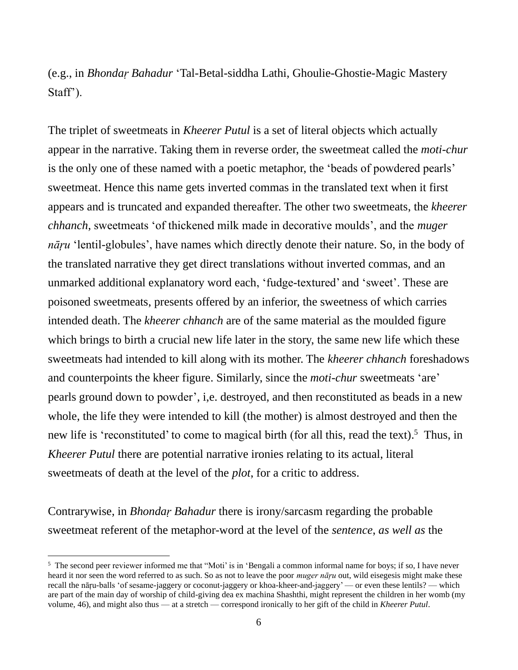(e.g., in *Bhondaṛ Bahadur* 'Tal-Betal-siddha Lathi, Ghoulie-Ghostie-Magic Mastery Staff').

The triplet of sweetmeats in *Kheerer Putul* is a set of literal objects which actually appear in the narrative. Taking them in reverse order, the sweetmeat called the *moti-chur* is the only one of these named with a poetic metaphor, the 'beads of powdered pearls' sweetmeat. Hence this name gets inverted commas in the translated text when it first appears and is truncated and expanded thereafter. The other two sweetmeats, the *kheerer chhanch*, sweetmeats 'of thickened milk made in decorative moulds', and the *muger nāŗu* 'lentil-globules', have names which directly denote their nature. So, in the body of the translated narrative they get direct translations without inverted commas, and an unmarked additional explanatory word each, 'fudge-textured' and 'sweet'. These are poisoned sweetmeats, presents offered by an inferior, the sweetness of which carries intended death. The *kheerer chhanch* are of the same material as the moulded figure which brings to birth a crucial new life later in the story, the same new life which these sweetmeats had intended to kill along with its mother. The *kheerer chhanch* foreshadows and counterpoints the kheer figure. Similarly, since the *moti-chur* sweetmeats 'are' pearls ground down to powder', i,e. destroyed, and then reconstituted as beads in a new whole, the life they were intended to kill (the mother) is almost destroyed and then the new life is 'reconstituted' to come to magical birth (for all this, read the text).<sup>5</sup> Thus, in *Kheerer Putul* there are potential narrative ironies relating to its actual, literal sweetmeats of death at the level of the *plot*, for a critic to address.

Contrarywise, in *Bhondaṛ Bahadur* there is irony/sarcasm regarding the probable sweetmeat referent of the metaphor-word at the level of the *sentence*, *as well as* the

<sup>&</sup>lt;sup>5</sup> The second peer reviewer informed me that "Moti' is in 'Bengali a common informal name for boys; if so, I have never heard it nor seen the word referred to as such. So as not to leave the poor *muger nāŗu* out, wild eisegesis might make these recall the nāŗu-balls 'of sesame-jaggery or coconut-jaggery or khoa-kheer-and-jaggery' — or even these lentils? — which are part of the main day of worship of child-giving dea ex machina Shashthi, might represent the children in her womb (my volume, 46), and might also thus — at a stretch — correspond ironically to her gift of the child in *Kheerer Putul*.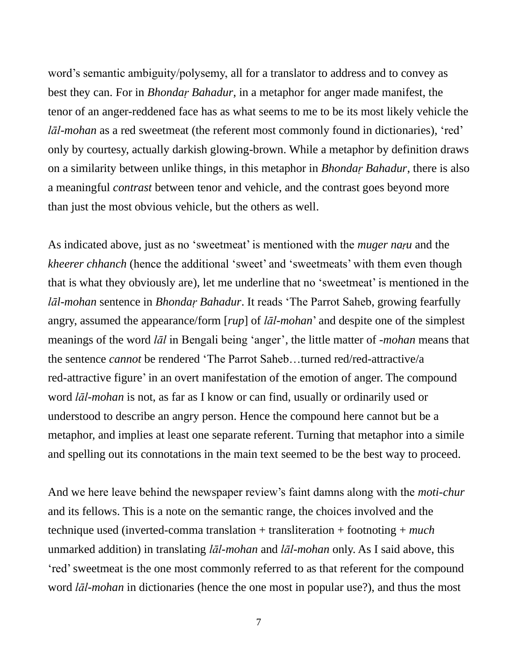word's semantic ambiguity/polysemy, all for a translator to address and to convey as best they can. For in *Bhondaṛ Bahadur*, in a metaphor for anger made manifest, the tenor of an anger-reddened face has as what seems to me to be its most likely vehicle the *lāl-mohan* as a red sweetmeat (the referent most commonly found in dictionaries), 'red' only by courtesy, actually darkish glowing-brown. While a metaphor by definition draws on a similarity between unlike things, in this metaphor in *Bhondaṛ Bahadur*, there is also a meaningful *contrast* between tenor and vehicle, and the contrast goes beyond more than just the most obvious vehicle, but the others as well.

As indicated above, just as no 'sweetmeat' is mentioned with the *muger naṛu* and the *kheerer chhanch* (hence the additional 'sweet' and 'sweetmeats' with them even though that is what they obviously are), let me underline that no 'sweetmeat' is mentioned in the *lāl-mohan* sentence in *Bhondaṛ Bahadur*. It reads 'The Parrot Saheb, growing fearfully angry, assumed the appearance/form [*rup*] of *lāl-mohan*' and despite one of the simplest meanings of the word *lāl* in Bengali being 'anger', the little matter of *-mohan* means that the sentence *cannot* be rendered 'The Parrot Saheb…turned red/red-attractive/a red-attractive figure' in an overt manifestation of the emotion of anger. The compound word *lāl-mohan* is not, as far as I know or can find, usually or ordinarily used or understood to describe an angry person. Hence the compound here cannot but be a metaphor, and implies at least one separate referent. Turning that metaphor into a simile and spelling out its connotations in the main text seemed to be the best way to proceed.

And we here leave behind the newspaper review's faint damns along with the *moti-chur* and its fellows. This is a note on the semantic range, the choices involved and the technique used (inverted-comma translation + transliteration + footnoting + *much* unmarked addition) in translating *lāl-mohan* and *lāl-mohan* only. As I said above, this 'red'sweetmeat is the one most commonly referred to as that referent for the compound word *lāl-mohan* in dictionaries (hence the one most in popular use?), and thus the most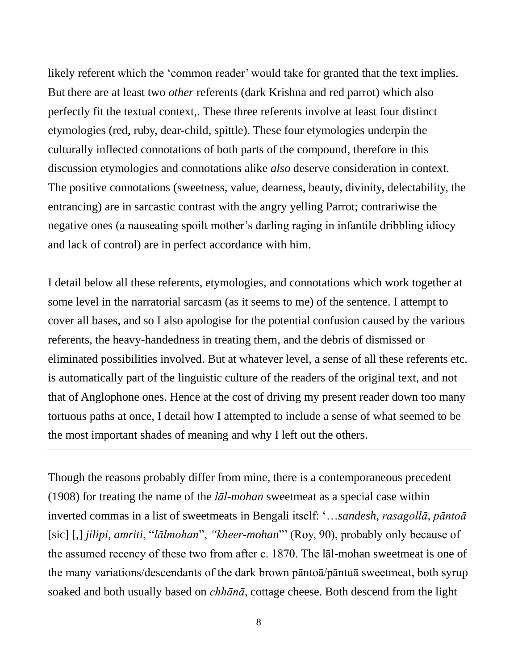likely referent which the 'common reader' would take for granted that the text implies. But there are at least two *other* referents (dark Krishna and red parrot) which also perfectly fit the textual context,. These three referents involve at least four distinct etymologies (red, ruby, dear-child, spittle). These four etymologies underpin the culturally inflected connotations of both parts of the compound, therefore in this discussion etymologies and connotations alike *also* deserve consideration in context. The positive connotations (sweetness, value, dearness, beauty, divinity, delectability, the entrancing) are in sarcastic contrast with the angry yelling Parrot; contrariwise the negative ones (a nauseating spoilt mother's darling raging in infantile dribbling idiocy and lack of control) are in perfect accordance with him.

I detail below all these referents, etymologies, and connotations which work together at some level in the narratorial sarcasm (as it seems to me) of the sentence. I attempt to cover all bases, and so I also apologise for the potential confusion caused by the various referents, the heavy-handedness in treating them, and the debris of dismissed or eliminated possibilities involved. But at whatever level, a sense of all these referents etc. is automatically part of the linguistic culture of the readers of the original text, and not that of Anglophone ones. Hence at the cost of driving my present reader down too many tortuous paths at once, I detail how I attempted to include a sense of what seemed to be the most important shades of meaning and why I left out the others.

Though the reasons probably differ from mine, there is a contemporaneous precedent (1908) for treating the name of the *lāl-mohan* sweetmeat as a special case within inverted commas in a list of sweetmeats in Bengali itself: '…*sandesh*, *rasagollā*, *pāntoā*  [sic] [,] *jilipi*, *amriti*, "*lālmohan*", *"kheer-mohan*"' (Roy, 90), probably only because of the assumed recency of these two from after c. 1870. The lāl-mohan sweetmeat is one of the many variations/descendants of the dark brown pāntoā/pāntuā sweetmeat, both syrup soaked and both usually based on *chhānā*, cottage cheese. Both descend from the light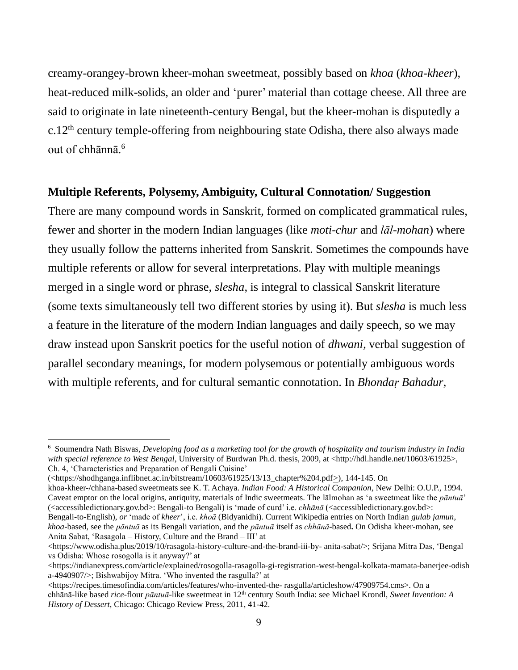creamy-orangey-brown kheer-mohan sweetmeat, possibly based on *khoa* (*khoa-kheer*), heat-reduced milk-solids, an older and 'purer' material than cottage cheese. All three are said to originate in late nineteenth-century Bengal, but the kheer-mohan is disputedly a c.12th century temple-offering from neighbouring state Odisha, there also always made out of chhānnā.<sup>6</sup>

#### **Multiple Referents, Polysemy, Ambiguity, Cultural Connotation/ Suggestion**

There are many compound words in Sanskrit, formed on complicated grammatical rules, fewer and shorter in the modern Indian languages (like *moti-chur* and *lāl-mohan*) where they usually follow the patterns inherited from Sanskrit. Sometimes the compounds have multiple referents or allow for several interpretations. Play with multiple meanings merged in a single word or phrase, *slesha*, is integral to classical Sanskrit literature (some texts simultaneously tell two different stories by using it). But *slesha* is much less a feature in the literature of the modern Indian languages and daily speech, so we may draw instead upon Sanskrit poetics for the useful notion of *dhwani*, verbal suggestion of parallel secondary meanings, for modern polysemous or potentially ambiguous words with multiple referents, and for cultural semantic connotation. In *Bhondaṛ Bahadur*,

khoa-kheer-/chhana*-*based sweetmeats see K. T. Achaya. *Indian Food: A Historical Companion*, New Delhi: O.U.P., 1994. Caveat emptor on the local origins, antiquity, materials of Indic sweetmeats. The lālmohan as 'a sweetmeat like the *pāntuā*' (<accessibledictionary.gov.bd>: Bengali-to Bengali) is 'made of curd' i.e. *chhānā* (<accessibledictionary.gov.bd>: Bengali-to-English), *or* 'made of *kheer*', i.e. *khoā* (Bidyanidhi). Current Wikipedia entries on North Indian *gulab jamun*, *khoa*-based, see the *pāntuā* as its Bengali variation, and the *pāntuā* itself as *chhānā*-based**.** On Odisha kheer-mohan, see Anita Sabat, 'Rasagola – History, Culture and the Brand – III' at

<sup>6</sup> Soumendra Nath Biswas, *Developing food as a marketing tool for the growth of hospitality and tourism industry in India with special reference to West Bengal*, University of Burdwan Ph.d. thesis, 2009, at <http://hdl.handle.net/10603/61925>, Ch. 4, 'Characteristics and Preparation of Bengali Cuisine'

<sup>(</sup>[<https://shodhganga.inflibnet.ac.in/bitstream/10603/61925/13/13\\_chapter%204.pdf>](https://shodhganga.inflibnet.ac.in/bitstream/10603/61925/13/13_chapter%204.pdf)), 144-145. On

<sup>&</sup>lt;https://www.odisha.plus/2019/10/rasagola-history-culture-and-the-brand-iii-by- anita-sabat/>; Srijana Mitra Das, 'Bengal vs Odisha: Whose rosogolla is it anyway?' at

[<sup>&</sup>lt;https://indianexpress.com/article/explained/rosogolla-rasagolla-gi-registration-west-bengal-kolkata-mamata-banerjee-odish](https://indianexpress.com/article/explained/rosogolla-rasagolla-gi-registration-west-bengal-kolkata-mamata-banerjee-odisha-4940907/) [a-4940907/>](https://indianexpress.com/article/explained/rosogolla-rasagolla-gi-registration-west-bengal-kolkata-mamata-banerjee-odisha-4940907/); Bishwabijoy Mitra. 'Who invented the rasgulla?' at

<sup>&</sup>lt;https://recipes.timesofindia.com/articles/features/who-invented-the- rasgulla/articleshow/47909754.cms>. On a chhānā-like based *rice*-flour *pāntuā*-like sweetmeat in 12th century South India: see Michael Krondl, *Sweet Invention: A History of Dessert*, Chicago: Chicago Review Press, 2011, 41-42.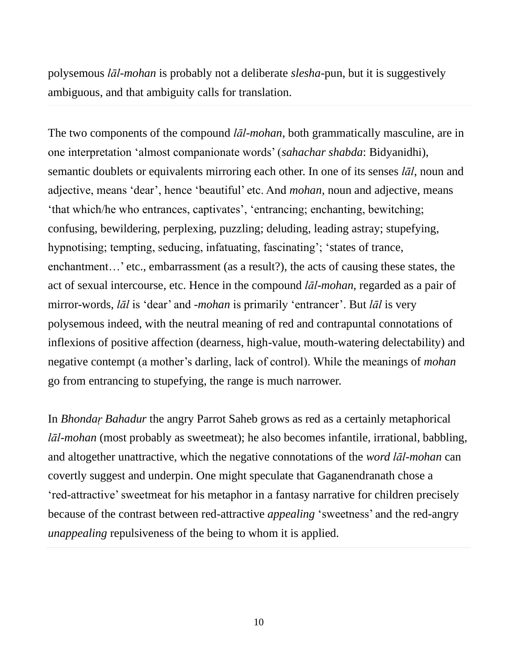polysemous *lāl-mohan* is probably not a deliberate *slesha*-pun, but it is suggestively ambiguous, and that ambiguity calls for translation.

The two components of the compound *lāl-mohan*, both grammatically masculine, are in one interpretation 'almost companionate words' (*sahachar shabda*: Bidyanidhi), semantic doublets or equivalents mirroring each other. In one of its senses *lāl*, noun and adjective, means 'dear', hence 'beautiful' etc. And *mohan*, noun and adjective, means 'that which/he who entrances, captivates', 'entrancing; enchanting, bewitching; confusing, bewildering, perplexing, puzzling; deluding, leading astray; stupefying, hypnotising; tempting, seducing, infatuating, fascinating'; 'states of trance, enchantment…' etc., embarrassment (as a result?), the acts of causing these states, the act of sexual intercourse, etc. Hence in the compound *lāl-mohan*, regarded as a pair of mirror-words, *lāl* is 'dear' and -*mohan* is primarily 'entrancer'. But *lāl* is very polysemous indeed, with the neutral meaning of red and contrapuntal connotations of inflexions of positive affection (dearness, high-value, mouth-watering delectability) and negative contempt (a mother's darling, lack of control). While the meanings of *mohan* go from entrancing to stupefying, the range is much narrower.

In *Bhondaṛ Bahadur* the angry Parrot Saheb grows as red as a certainly metaphorical *lāl-mohan* (most probably as sweetmeat); he also becomes infantile, irrational, babbling, and altogether unattractive, which the negative connotations of the *word lāl-mohan* can covertly suggest and underpin. One might speculate that Gaganendranath chose a 'red-attractive' sweetmeat for his metaphor in a fantasy narrative for children precisely because of the contrast between red-attractive *appealing* 'sweetness' and the red-angry *unappealing* repulsiveness of the being to whom it is applied.

10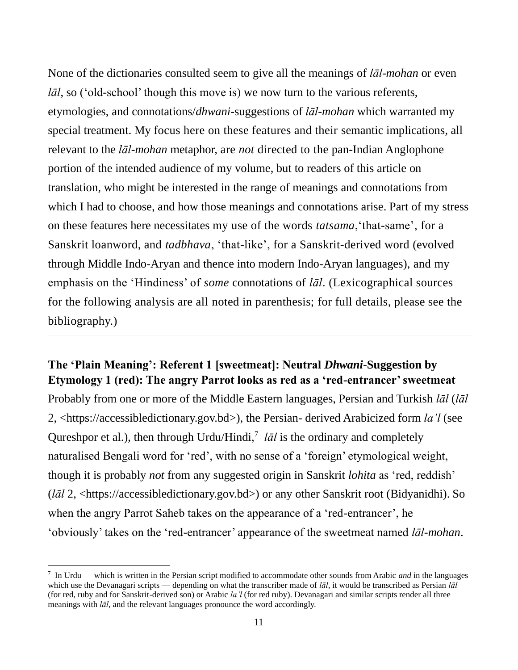None of the dictionaries consulted seem to give all the meanings of *lāl-mohan* or even *lāl*, so ('old-school' though this move is) we now turn to the various referents, etymologies, and connotations/*dhwani*-suggestions of *lāl-mohan* which warranted my special treatment. My focus here on these features and their semantic implications, all relevant to the *lāl-mohan* metaphor, are *not* directed to the pan-Indian Anglophone portion of the intended audience of my volume, but to readers of this article on translation, who might be interested in the range of meanings and connotations from which I had to choose, and how those meanings and connotations arise. Part of my stress on these features here necessitates my use of the words *tatsama*,'that-same', for a Sanskrit loanword, and *tadbhava*, 'that-like', for a Sanskrit-derived word (evolved through [Middle Indo-Aryan](https://en.wikipedia.org/wiki/Middle_Indo-Aryan) and thence into modern Indo-Aryan languages), and my emphasis on the 'Hindiness' of *some* connotations of *lāl*. (Lexicographical sources for the following analysis are all noted in parenthesis; for full details, please see the bibliography.)

#### **The 'Plain Meaning': Referent 1 [sweetmeat]: Neutral** *Dhwani***-Suggestion by Etymology 1 (red): The angry Parrot looks as red as a 'red-entrancer' sweetmeat**

Probably from one or more of the Middle Eastern languages, Persian and Turkish *lāl* (*lāl* 2, <https://accessibledictionary.gov.bd>), the Persian- derived Arabicized form *la'l* (see [Qureshpor](https://forum.wordreference.com/members/qureshpor.491618/) et al.), then through Urdu/Hindi,<sup>7</sup> *lal* is the ordinary and completely naturalised Bengali word for 'red', with no sense of a 'foreign' etymological weight, though it is probably *not* from any suggested origin in Sanskrit *lohita* as 'red, reddish' (*lāl* 2, <https://accessibledictionary.gov.bd>) or any other Sanskrit root (Bidyanidhi). So when the angry Parrot Saheb takes on the appearance of a 'red-entrancer', he 'obviously' takes on the 'red-entrancer' appearance of the sweetmeat named *lāl-mohan*.

<sup>7</sup> In Urdu — which is written in the Persian script modified to accommodate other sounds from Arabic *and* in the languages which use the Devanagari scripts — depending on what the transcriber made of *lāl*, it would be transcribed as Persian *lāl*  (for red, ruby and for Sanskrit-derived son) or Arabic *la'l* (for red ruby). Devanagari and similar scripts render all three meanings with *lāl*, and the relevant languages pronounce the word accordingly.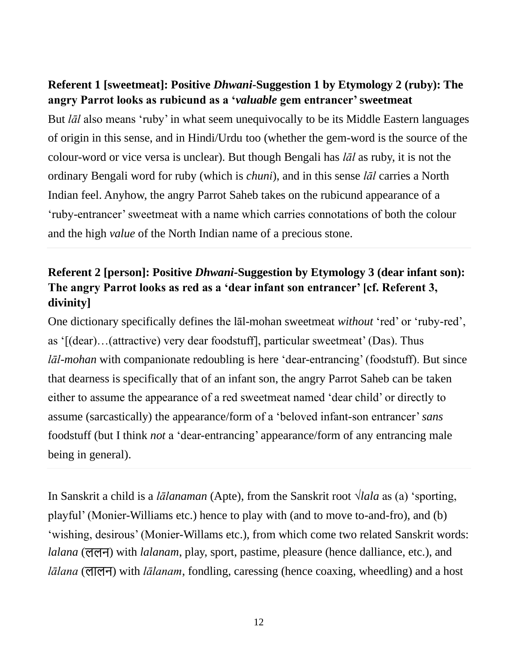#### **Referent 1 [sweetmeat]: Positive** *Dhwani***-Suggestion 1 by Etymology 2 (ruby): The angry Parrot looks as rubicund as a '***valuable* **gem entrancer' sweetmeat**

But *lāl* also means 'ruby' in what seem unequivocally to be its Middle Eastern languages of origin in this sense, and in Hindi/Urdu too (whether the gem-word is the source of the colour-word or vice versa is unclear). But though Bengali has *lāl* as ruby, it is not the ordinary Bengali word for ruby (which is *chuni*), and in this sense *lāl* carries a North Indian feel. Anyhow, the angry Parrot Saheb takes on the rubicund appearance of a 'ruby-entrancer' sweetmeat with a name which carries connotations of both the colour and the high *value* of the North Indian name of a precious stone.

## **Referent 2 [person]: Positive** *Dhwani***-Suggestion by Etymology 3 (dear infant son): The angry Parrot looks as red as a 'dear infant son entrancer' [cf. Referent 3, divinity]**

One dictionary specifically defines the lāl-mohan sweetmeat *without* 'red' or 'ruby-red', as '[(dear)…(attractive) very dear foodstuff], particular sweetmeat' (Das). Thus *lāl-mohan* with companionate redoubling is here 'dear-entrancing' (foodstuff). But since that dearness is specifically that of an infant son, the angry Parrot Saheb can be taken either to assume the appearance of a red sweetmeat named 'dear child' or directly to assume (sarcastically) the appearance/form of a 'beloved infant-son entrancer' *sans* foodstuff (but I think *not* a 'dear-entrancing' appearance/form of any entrancing male being in general).

In Sanskrit a child is a *[lālanama](https://sanskritdictionary.com/lalanam/27016/4)n* (Apte), from the Sanskrit root √*lala* as (a) 'sporting, playful' (Monier-Williams etc.) hence to play with (and to move to-and-fro), and (b) 'wishing, desirous' (Monier-Willams etc.), from which come two related Sanskrit words: *lalana* (ललन) with *lalanam*, play, sport, pastime, pleasure (hence dalliance, etc.), and *lālana* (लालन) with *lālanam*, fondling, caressing (hence coaxing, wheedling) and a host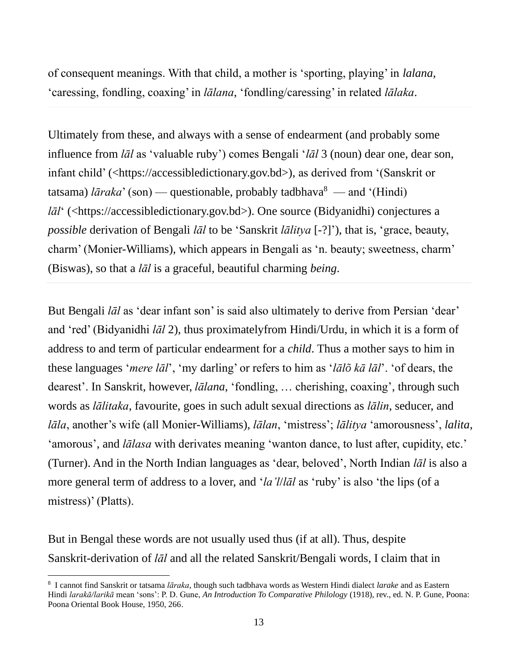of consequent meanings. With that child, a mother is 'sporting, playing' in *lalana*, 'caressing, fondling, coaxing' in *lālana*, 'fondling/caressing' in related *lālaka*.

Ultimately from these, and always with a sense of endearment (and probably some influence from *lāl* as 'valuable ruby') comes Bengali '*lāl* 3 (noun) dear one, dear son, infant child' (<https://accessibledictionary.gov.bd>), as derived from '(Sanskrit or tatsama) *lāraka*' (son) — questionable, probably tadbhava<sup>8</sup> — and '(Hindi) *lāl*<sup>'</sup> (<https://accessibledictionary.gov.bd>). One source (Bidyanidhi) conjectures a *possible* derivation of Bengali *lāl* to be 'Sanskrit *lālitya* [-?]'), that is, 'grace, beauty, charm' (Monier-Williams), which appears in Bengali as 'n. beauty; sweetness, charm' (Biswas), so that a *lāl* is a graceful, beautiful charming *being*.

But Bengali *lāl* as 'dear infant son' is said also ultimately to derive from Persian 'dear' and 'red' (Bidyanidhi *lāl* 2), thus proximatelyfrom Hindi/Urdu, in which it is a form of address to and term of particular endearment for a *child*. Thus a mother says to him in these languages '*mere lāl*', 'my darling' or refers to him as '*lālõ kā lāl*'. 'of dears, the dearest'. In Sanskrit, however, *lālana*, 'fondling, … cherishing, coaxing', through such words as *lālitaka*, favourite, goes in such adult sexual directions as *lālin*, seducer, and *lāla*, another's wife (all Monier-Williams), *lālan*, 'mistress'; *lālitya* 'amorousness', *lalita*, 'amorous', and *lālasa* with derivates meaning 'wanton dance, to lust after, cupidity, etc.' (Turner). And in the North Indian languages as 'dear, beloved', North Indian *lāl* is also a more general term of address to a lover, and '*la'l*/*lāl* as 'ruby' is also 'the lips (of a mistress)' (Platts).

But in Bengal these words are not usually used thus (if at all). Thus, despite Sanskrit-derivation of *lāl* and all the related Sanskrit/Bengali words, I claim that in

<sup>8</sup> I cannot find Sanskrit or tatsama *lāraka*, though such tadbhava words as Western Hindi dialect *larake* and as Eastern Hindi *larakā/larikā* mean 'sons': P. D. Gune, *An Introduction To Comparative Philology* (1918), rev., ed. N. P. Gune, Poona: Poona Oriental Book House, 1950, 266.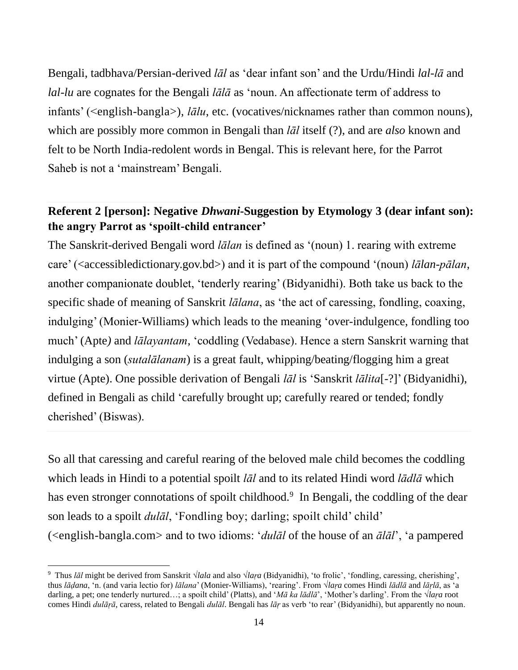Bengali, tadbhava/Persian-derived *lāl* as 'dear infant son' and the Urdu/Hindi *lal-lā* and *lal-lu* are cognates for the Bengali *lālā* as 'noun. An affectionate term of address to infants' (<english-bangla>), *lālu*, etc. (vocatives/nicknames rather than common nouns), which are possibly more common in Bengali than *lāl* itself (?), and are *also* known and felt to be North India-redolent words in Bengal. This is relevant here, for the Parrot Saheb is not a 'mainstream' Bengali.

### **Referent 2 [person]: Negative** *Dhwani***-Suggestion by Etymology 3 (dear infant son): the angry Parrot as 'spoilt-child entrancer'**

The Sanskrit-derived Bengali word *lālan* is defined as '(noun) 1. rearing with extreme care' (<accessibledictionary.gov.bd>) and it is part of the compound '(noun) *lālan-pālan*, another companionate doublet, 'tenderly rearing' (Bidyanidhi). Both take us back to the specific shade of meaning of Sanskrit *lālana*, as 'the act of caressing, fondling, coaxing, indulging' (Monier-Williams) which leads to the meaning 'over-indulgence, fondling too much' (Apte*)* and *lālayantam*, 'coddling (Vedabase). Hence a stern Sanskrit warning that indulging a son (*sutalālanam*) is a great fault, whipping/beating/flogging him a great virtue (Apte). One possible derivation of Bengali *lāl* is 'Sanskrit *lālita*[-?]' (Bidyanidhi), defined in Bengali as child 'carefully brought up; carefully reared or tended; fondly cherished' (Biswas).

So all that caressing and careful rearing of the beloved male child becomes the coddling which leads in Hindi to a potential spoilt *lāl* and to its related Hindi word *lādlā* which has even stronger connotations of spoilt childhood.<sup>9</sup> In Bengali, the coddling of the dear son leads to a spoilt *dulāl*, 'Fondling boy; darling; spoilt child' child' (<english-bangla.com> and to two idioms: '*dulāl* of the house of an *ālāl*', 'a pampered

<sup>9</sup> Thus *lāl* might be derived from Sanskrit √*lala* and also √*laṛa* (Bidyanidhi), 'to frolic', 'fondling, caressing, cherishing', thus *lāḍana*, 'n. (and varia lectio for) *lālana*' (Monier-Williams), 'rearing'. From √*laṛa* comes Hindi *lādlā* and *lāṛlā*, as 'a darling, a pet; one tenderly nurtured…; a spoilt child' (Platts), and '*Mā ka lādlā*', 'Mother's darling'. From the √*laṛa* root comes Hindi *dulāṛā*, caress, related to Bengali *dulāl*. Bengali has *lāṛ* as verb 'to rear' (Bidyanidhi), but apparently no noun.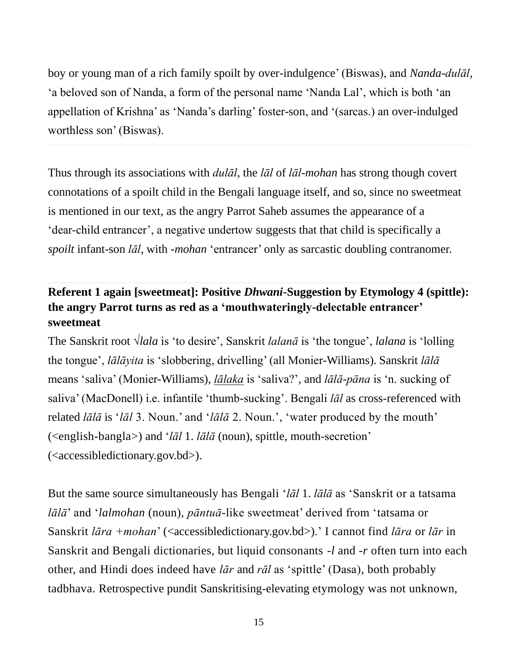boy or young man of a rich family spoilt by over-indulgence' (Biswas), and *Nanda-dulāl*, 'a beloved son of Nanda, a form of the personal name 'Nanda Lal', which is both 'an appellation of Krishna' as 'Nanda's darling' foster-son, and '(sarcas.) an over-indulged worthless son' (Biswas).

Thus through its associations with *dulāl*, the *lāl* of *lāl-mohan* has strong though covert connotations of a spoilt child in the Bengali language itself, and so, since no sweetmeat is mentioned in our text, as the angry Parrot Saheb assumes the appearance of a 'dear-child entrancer', a negative undertow suggests that that child is specifically a *spoilt* infant-son *lāl*, with -*mohan* 'entrancer' only as sarcastic doubling contranomer.

## **Referent 1 again [sweetmeat]: Positive** *Dhwani***-Suggestion by Etymology 4 (spittle): the angry Parrot turns as red as a 'mouthwateringly-delectable entrancer' sweetmeat**

The Sanskrit root √*lala* is 'to desire', Sanskrit *lalanā* is 'the tongue', *lalana* is 'lolling the tongue', *lālāyita* is 'slobbering, drivelling' (all Monier-Williams). Sanskrit *lālā* means 'saliva' (Monier-Williams), *[lālaka](https://sanskritdictionary.com/lālaka/123126/7)* is 'saliva?', and *lālā-pāna* is 'n. sucking of saliva' (MacDonell) i.e. infantile 'thumb-sucking'. Bengali *lāl* as cross-referenced with related *lālā* is '*lāl* 3. Noun.' and '*lālā* 2. Noun.', 'water produced by the mouth' (<english-bangla>) and '*lāl* 1. *lālā* (noun), spittle, mouth-secretion' (<accessibledictionary.gov.bd>).

But the same source simultaneously has Bengali '*lāl* 1. *lālā* as 'Sanskrit or a tatsama *lālā*' and '*lalmohan* (noun), *pāntuā*-like sweetmeat' derived from 'tatsama or Sanskrit *lāra +mohan*' (<accessibledictionary.gov.bd>).' I cannot find *lāra* or *lār* in Sanskrit and Bengali dictionaries, but liquid consonants -*l* and -*r* often turn into each other, and Hindi does indeed have *lār* and *rāl* as 'spittle' (Dasa), both probably tadbhava. Retrospective pundit Sanskritising-elevating etymology was not unknown,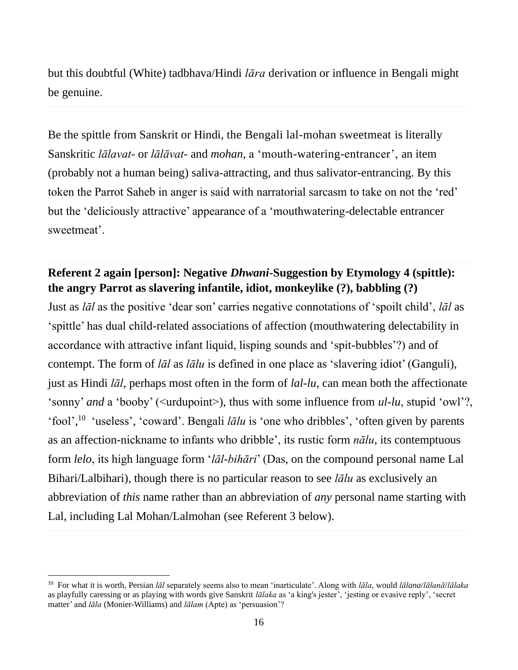but this doubtful (White) tadbhava/Hindi *lāra* derivation or influence in Bengali might be genuine.

Be the spittle from Sanskrit or Hindi, the Bengali lal-mohan sweetmeat is literally Sanskritic *lālavat*- or *lālāvat-* and *mohan*, a 'mouth-watering-entrancer', an item (probably not a human being) saliva-attracting, and thus salivator-entrancing. By this token the Parrot Saheb in anger is said with narratorial sarcasm to take on not the 'red' but the 'deliciously attractive' appearance of a 'mouthwatering-delectable entrancer sweetmeat'.

#### **Referent 2 again [person]: Negative** *Dhwani***-Suggestion by Etymology 4 (spittle): the angry Parrot as slavering infantile, idiot, monkeylike (?), babbling (?)**

Just as *lāl* as the positive 'dear son' carries negative connotations of 'spoilt child', *lāl* as 'spittle' has dual child-related associations of affection (mouthwatering delectability in accordance with attractive infant liquid, lisping sounds and 'spit-bubbles'?) and of contempt. The form of *lāl* as *lālu* is defined in one place as 'slavering idiot' (Ganguli), just as Hindi *lāl*, perhaps most often in the form of *lal-lu*, can mean both the affectionate 'sonny' *and* a 'booby' (<urdupoint>), thus with some influence from *ul-lu*, stupid 'owl'?, 'fool', <sup>10</sup> 'useless', 'coward'. Bengali *lālu* is 'one who dribbles', 'often given by parents as an affection-nickname to infants who dribble', its rustic form *nālu*, its contemptuous form *lelo*, its high language form '*lāl-bihāri*' (Das, on the compound personal name Lal Bihari/Lalbihari), though there is no particular reason to see *lālu* as exclusively an abbreviation of *this* name rather than an abbreviation of *any* personal name starting with Lal, including Lal Mohan/Lalmohan (see Referent 3 below).

<sup>10</sup> For what it is worth, Persian *lāl* separately seems also to mean 'inarticulate'. Along with *lāla*, would *lālana*/*lālanā*/*lālaka* as playfully caressing or as playing with words give Sanskrit *lālaka* as 'a king's jester', 'jesting or evasive reply', 'secret matter' and *lāla* (Monier-Williams) and *[lālam](https://sanskritdictionary.com/lālam/27114/4)* (Apte) as 'persuasion'?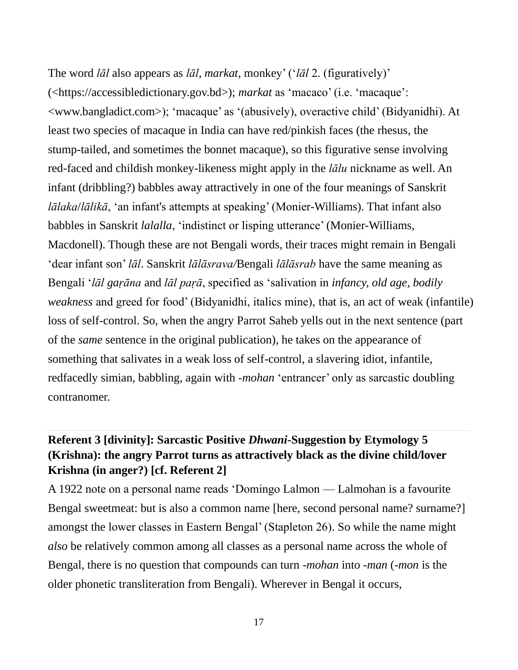The word *lāl* also appears as *lāl*, *markat*, monkey' ('*lāl* 2. (figuratively)' (<https://accessibledictionary.gov.bd>); *markat* as 'macaco' (i.e. 'macaque': <www.bangladict.com>); 'macaque' as '(abusively), overactive child' (Bidyanidhi). At least two species of macaque in India can have red/pinkish faces (the rhesus, the stump-tailed, and sometimes the bonnet macaque), so this figurative sense involving red-faced and childish monkey-likeness might apply in the *lālu* nickname as well. An infant (dribbling?) babbles away attractively in one of the four meanings of Sanskrit *lālaka*/*lālikā*, 'an infant's attempts at speaking' (Monier-Williams). That infant also babbles in Sanskrit *lalalla*, 'indistinct or lisping utterance' (Monier-Williams, Macdonell). Though these are not Bengali words, their traces might remain in Bengali 'dear infant son' *lāl*. Sanskrit *[lālāsrava/](https://sanskritdictionary.com/lālāsrava/196748/1)*Bengali *lālāsrab* have the same meaning as Bengali '*lāl gaṛāna* and *lāl paṛā*, specified as 'salivation in *infancy, old age, bodily weakness* and greed for food' (Bidyanidhi, italics mine), that is, an act of weak (infantile) loss of self-control. So, when the angry Parrot Saheb yells out in the next sentence (part of the *same* sentence in the original publication), he takes on the appearance of something that salivates in a weak loss of self-control, a slavering idiot, infantile, redfacedly simian, babbling, again with -*mohan* 'entrancer' only as sarcastic doubling contranomer.

### **Referent 3 [divinity]: Sarcastic Positive** *Dhwani***-Suggestion by Etymology 5 (Krishna): the angry Parrot turns as attractively black as the divine child/lover Krishna (in anger?) [cf. Referent 2]**

A 1922 note on a personal name reads 'Domingo Lalmon — Lalmohan is a favourite Bengal sweetmeat: but is also a common name [here, second personal name? surname?] amongst the lower classes in Eastern Bengal' (Stapleton 26). So while the name might *also* be relatively common among all classes as a personal name across the whole of Bengal, there is no question that compounds can turn -*mohan* into -*man* (-*mon* is the older phonetic transliteration from Bengali). Wherever in Bengal it occurs,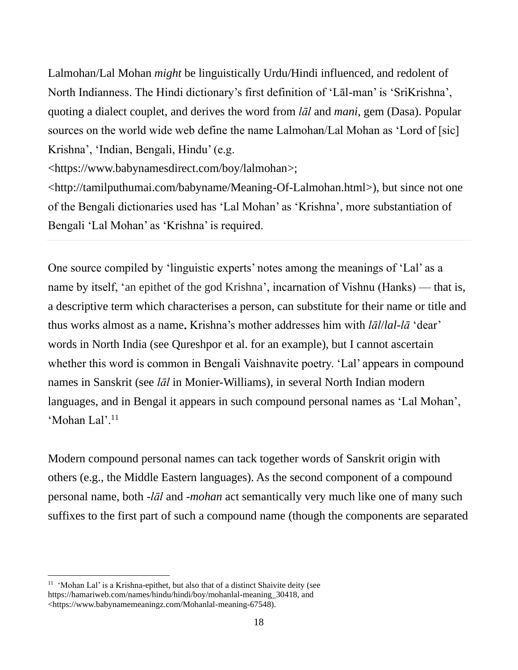Lalmohan/Lal Mohan *might* be linguistically Urdu/Hindi influenced, and redolent of North Indianness. The Hindi dictionary's first definition of 'Lāl-man' is 'SriKrishna', quoting a dialect couplet, and derives the word from *lāl* and *mani*, gem (Dasa). Popular sources on the world wide web define the name Lalmohan/Lal Mohan as 'Lord of [sic] Krishna', 'Indian, Bengali, Hindu' (e.g.

[<https://www.babynamesdirect.com/boy/lalmohan>](https://www.babynamesdirect.com/boy/lalmohan);

<http://tamilputhumai.com/babyname/Meaning-Of-Lalmohan.html>), but since not one of the Bengali dictionaries used has 'Lal Mohan' as 'Krishna', more substantiation of Bengali 'Lal Mohan' as 'Krishna' is required.

One source compiled by 'linguistic experts' notes among the meanings of 'Lal' as a name by itself, 'an epithet of the god Krishna', incarnation of Vishnu (Hanks) — that is, a descriptive term which characterises a person, can substitute for their name or title and thus works almost as a name**.** Krishna's mother addresses him with *lāl*/*lal-lā* 'dear' words in North India (see Qureshpor et al. for an example), but I cannot ascertain whether this word is common in Bengali Vaishnavite poetry. 'Lal' appears in compound names in Sanskrit (see *lāl* in Monier-Williams), in several North Indian modern languages, and in Bengal it appears in such compound personal names as 'Lal Mohan', 'Mohan Lal'.<sup>11</sup>

Modern compound personal names can tack together words of Sanskrit origin with others (e.g., the Middle Eastern languages). As the second component of a compound personal name, both *-lāl* and -*mohan* act semantically very much like one of many such suffixes to the first part of such a compound name (though the components are separated

 $11$  'Mohan Lal' is a Krishna-epithet, but also that of a distinct Shaivite deity (see https://hamariweb.com/names/hindu/hindi/boy/mohanlal-meaning\_30418, and <https://www.babynamemeaningz.com/Mohanlal-meaning-67548).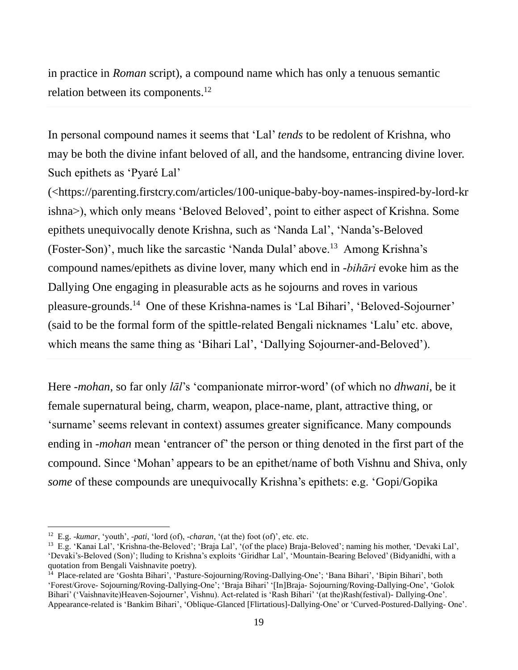in practice in *Roman* script), a compound name which has only a tenuous semantic relation between its components.<sup>12</sup>

In personal compound names it seems that 'Lal' *tends* to be redolent of Krishna, who may be both the divine infant beloved of all, and the handsome, entrancing divine lover. Such epithets as 'Pyaré Lal'

([<https://parenting.firstcry.com/articles/100-unique-baby-boy-names-inspired-by-lord-kr](https://parenting.firstcry.com/articles/100-unique-baby-boy-names-inspired-by-lord-krishna) [ishna>](https://parenting.firstcry.com/articles/100-unique-baby-boy-names-inspired-by-lord-krishna)), which only means 'Beloved Beloved', point to either aspect of Krishna. Some epithets unequivocally denote Krishna, such as 'Nanda Lal', 'Nanda's-Beloved (Foster-Son)', much like the sarcastic 'Nanda Dulal' above.<sup>13</sup> Among Krishna's compound names/epithets as divine lover, many which end in -*bihāri* evoke him as the Dallying One engaging in pleasurable acts as he sojourns and roves in various pleasure-grounds.<sup>14</sup> One of these Krishna-names is 'Lal Bihari', 'Beloved-Sojourner' (said to be the formal form of the spittle-related Bengali nicknames 'Lalu' etc. above, which means the same thing as 'Bihari Lal', 'Dallying Sojourner-and-Beloved').

Here -*mohan*, so far only *lāl*'s 'companionate mirror-word' (of which no *dhwani*, be it female supernatural being, charm, weapon, place-name, plant, attractive thing, or 'surname' seems relevant in context) assumes greater significance. Many compounds ending in -*mohan* mean 'entrancer of' the person or thing denoted in the first part of the compound. Since 'Mohan' appears to be an epithet/name of both Vishnu and Shiva, only *some* of these compounds are unequivocally Krishna's epithets: e.g. 'Gopi/Gopika

<sup>12</sup> E.g. -*kumar*, 'youth', *-pati*, 'lord (of), *-charan*, '(at the) foot (of)', etc. etc.

<sup>13</sup> E.g. 'Kanai Lal', 'Krishna-the-Beloved'; 'Braja Lal', '(of the place) Braja-Beloved'; naming his mother, 'Devaki Lal', 'Devaki's-Beloved (Son)'; lluding to Krishna's exploits 'Giridhar Lal', 'Mountain-Bearing Beloved' (Bidyanidhi, with a quotation from Bengali Vaishnavite poetry).

<sup>&</sup>lt;sup>14</sup> Place-related are 'Goshta Bihari', 'Pasture-Sojourning/Roving-Dallying-One'; 'Bana Bihari', 'Bipin Bihari', both 'Forest/Grove- Sojourning/Roving-Dallying-One'; 'Braja Bihari' '[In]Braja- Sojourning/Roving-Dallying-One', 'Golok Bihari' ('Vaishnavite)Heaven-Sojourner', Vishnu). Act-related is 'Rash Bihari' '(at the)Rash(festival)- Dallying-One'. Appearance-related is 'Bankim Bihari', 'Oblique-Glanced [Flirtatious]-Dallying-One' or 'Curved-Postured-Dallying- One'.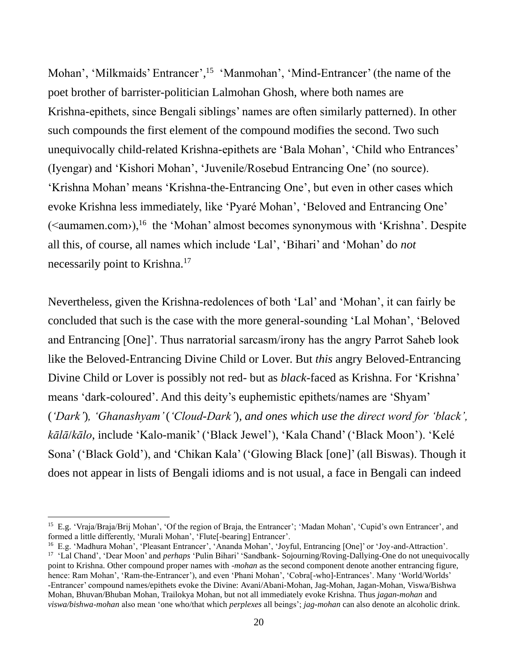Mohan', 'Milkmaids' Entrancer', <sup>15</sup> 'Manmohan', 'Mind-Entrancer' (the name of the poet brother of barrister-politician Lalmohan Ghosh, where both names are Krishna-epithets, since Bengali siblings' names are often similarly patterned). In other such compounds the first element of the compound modifies the second. Two such unequivocally child-related Krishna-epithets are 'Bala Mohan', 'Child who Entrances' (Iyengar) and 'Kishori Mohan', 'Juvenile/Rosebud Entrancing One' (no source). 'Krishna Mohan' means 'Krishna-the-Entrancing One', but even in other cases which evoke Krishna less immediately, like 'Pyaré Mohan', 'Beloved and Entrancing One'  $(\le$ aumamen.com>),<sup>16</sup> the 'Mohan' almost becomes synonymous with 'Krishna'. Despite all this, of course, all names which include 'Lal', 'Bihari' and 'Mohan' do *not* necessarily point to Krishna.<sup>17</sup>

Nevertheless, given the Krishna-redolences of both 'Lal' and 'Mohan', it can fairly be concluded that such is the case with the more general-sounding 'Lal Mohan', 'Beloved and Entrancing [One]'. Thus narratorial sarcasm/irony has the angry Parrot Saheb look like the Beloved-Entrancing Divine Child or Lover. But *this* angry Beloved-Entrancing Divine Child or Lover is possibly not red- but as *black*-faced as Krishna. For 'Krishna' means 'dark-coloured'. And this deity's euphemistic epithets/names are 'Shyam' (*'Dark'*)*, 'Ghanashyam'* (*'Cloud-Dark'*)*, and ones which use the direct word for 'black', kālā*/*kālo*, include 'Kalo-manik' ('Black Jewel'), 'Kala Chand' ('Black Moon'). 'Kelé Sona' ('Black Gold'), and 'Chikan Kala' ('Glowing Black [one]' (all Biswas). Though it does not appear in lists of Bengali idioms and is not usual, a face in Bengali can indeed

<sup>&</sup>lt;sup>15</sup> E.g. 'Vraja/Braja/Brij Mohan', 'Of the region of Braja, the Entrancer'; 'Madan Mohan', 'Cupid's own Entrancer', and formed a little differently, 'Murali Mohan', 'Flute<sup>[</sup>-bearing] Entrancer'.

<sup>16</sup> E.g. 'Madhura Mohan', 'Pleasant Entrancer', 'Ananda Mohan', 'Joyful, Entrancing [One]' or 'Joy-and-Attraction'. <sup>17</sup> 'Lal Chand', 'Dear Moon' and *perhaps* 'Pulin Bihari' 'Sandbank- Sojourning/Roving-Dallying-One do not unequivocally point to Krishna. Other compound proper names with -*mohan* as the second component denote another entrancing figure, hence: Ram Mohan', 'Ram-the-Entrancer'), and even 'Phani Mohan', 'Cobra[-who]-Entrances'. Many 'World/Worlds' -Entrancer' compound names/epithets evoke the Divine: Avani/Abani-Mohan, Jag-Mohan, Jagan-Mohan, Viswa/Bishwa Mohan, Bhuvan/Bhuban Mohan, Trailokya Mohan, but not all immediately evoke Krishna. Thus *jagan-mohan* and *viswa/bishwa-mohan* also mean 'one who/that which *perplexes* all beings'; *jag-mohan* can also denote an alcoholic drink.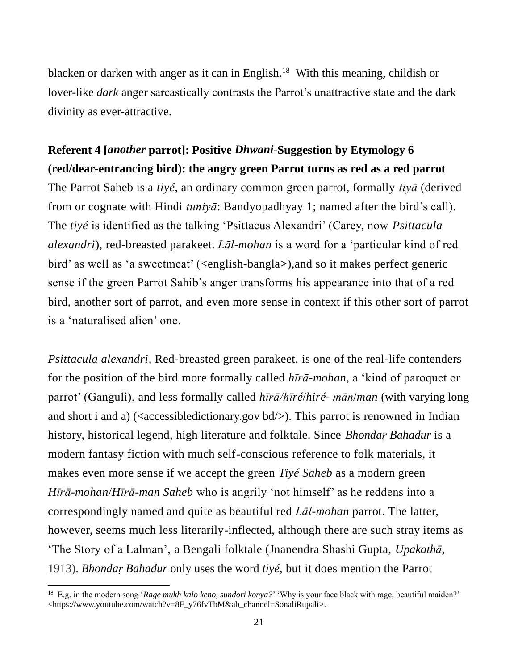blacken or darken with anger as it can in English. <sup>18</sup> With this meaning, childish or lover-like *dark* anger sarcastically contrasts the Parrot's unattractive state and the dark divinity as ever-attractive.

# **Referent 4 [***another* **parrot]: Positive** *Dhwani***-Suggestion by Etymology 6 (red/dear-entrancing bird): the angry green Parrot turns as red as a red parrot** The Parrot Saheb is a *tiyé*, an ordinary common green parrot, formally *tiyā* (derived from or cognate with Hindi *tuniyā*: Bandyopadhyay 1; named after the bird's call). The *tiyé* is identified as the talking 'Psittacus Alexandri' (Carey, now *Psittacula*

*alexandri*), red-breasted parakeet. *Lāl-mohan* is a word for a 'particular kind of red bird' as well as 'a sweetmeat' (<english-bangla**>**),and so it makes perfect generic sense if the green Parrot Sahib's anger transforms his appearance into that of a red bird, another sort of parrot, and even more sense in context if this other sort of parrot is a 'naturalised alien' one.

*Psittacula alexandri*, Red-breasted green parakeet, is one of the real-life contenders for the position of the bird more formally called *hīrā-mohan*, a 'kind of paroquet or parrot' (Ganguli), and less formally called *hīrā/hīré*/*hiré*- *mān*/*man* (with varying long and short i and a) ( $\leq$  accessibledictionary.gov bd $\geq$ ). This parrot is renowned in Indian history, historical legend, high literature and folktale. Since *Bhondaṛ Bahadur* is a modern fantasy fiction with much self-conscious reference to folk materials, it makes even more sense if we accept the green *Tiyé Saheb* as a modern green *Hīrā*-*mohan*/*Hīrā-man Saheb* who is angrily 'not himself' as he reddens into a correspondingly named and quite as beautiful red *Lāl-mohan* parrot. The latter, however, seems much less literarily-inflected, although there are such stray items as 'The Story of a Lalman', a Bengali folktale (Jnanendra Shashi Gupta, *[Upakathā](https://discover.libraryhub.jisc.ac.uk/search?q=author%3A%20Gupta%2C%20Jnanendra%20Sasi.&rn=1)*, 1913). *Bhondaṛ Bahadur* only uses the word *tiyé*, but it does mention the Parrot

<sup>18</sup> E.g. in the modern song '*Rage mukh kalo keno, sundori konya?*' 'Why is your face black with rage, beautiful maiden?' [<https://www.youtube.com/watch?v=8F\\_y76fvTbM&ab\\_channel=SonaliRupali>](https://www.youtube.com/watch?v=8F_y76fvTbM&ab_channel=SonaliRupali).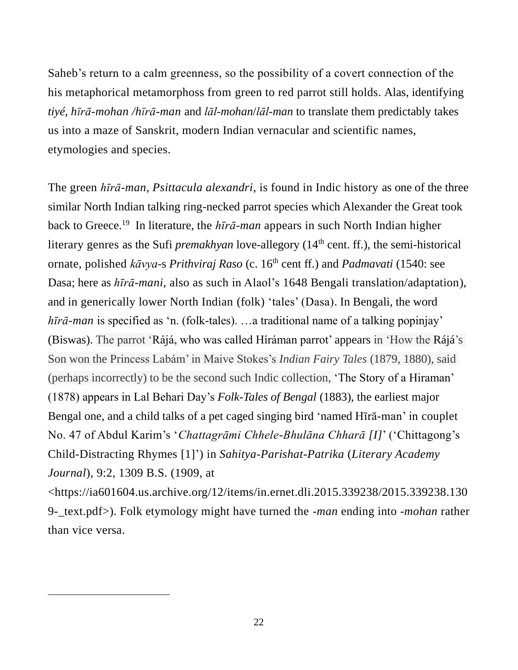Saheb's return to a calm greenness, so the possibility of a covert connection of the his metaphorical metamorphoss from green to red parrot still holds. Alas, identifying *tiyé*, *hīrā-mohan /hīrā-man* and *lāl-mohan*/*lāl-man* to translate them predictably takes us into a maze of Sanskrit, modern Indian vernacular and scientific names, etymologies and species.

The green *hīrā-man*, *Psittacula alexandri*, is found in Indic history as one of the three similar North Indian talking ring-necked parrot species which Alexander the Great took back to Greece.<sup>19</sup> In literature, the *hīrā-man* appears in such North Indian higher literary genres as the Sufi *premakhyan* love-allegory (14<sup>th</sup> cent. ff.), the semi-historical ornate, polished *kāvya-s Prithviraj Raso* (c. 16<sup>th</sup> cent ff.) and *Padmavati* (1540: see Dasa; here as *hīrā-mani*, also as such in Alaol's 1648 Bengali translation/adaptation), and in generically lower North Indian (folk) 'tales' (Dasa). In Bengali, the word *hīrā-man* is specified as 'n. (folk-tales). …a traditional name of a talking popinjay' (Biswas). The parrot 'Rájá, who was called Híráman parrot' appears in 'How the Rájá's Son won the Princess Labám' in Maive Stokes's *Indian Fairy Tales* (1879, 1880), said (perhaps incorrectly) to be the second such Indic collection, 'The Story of a Hiraman' (1878) appears in Lal Behari Day's *Folk-Tales of Bengal* (1883), the earliest major Bengal one, and a child talks of a pet caged singing bird 'named Hīrā-man' in couplet No. 47 of Abdul Karim's '*Chattagrāmi Chhele-Bhulāna Chharā [I]*' ('Chittagong's Child-Distracting Rhymes [1]') in *Sahitya-Parishat-Patrika* (*Literary Academy Journal*), 9:2, 1309 B.S. (1909, at <https://ia601604.us.archive.org/12/items/in.ernet.dli.2015.339238/2015.339238.130 9-\_text.pdf>). Folk etymology might have turned the *-man* ending into *-mohan* rather

than vice versa.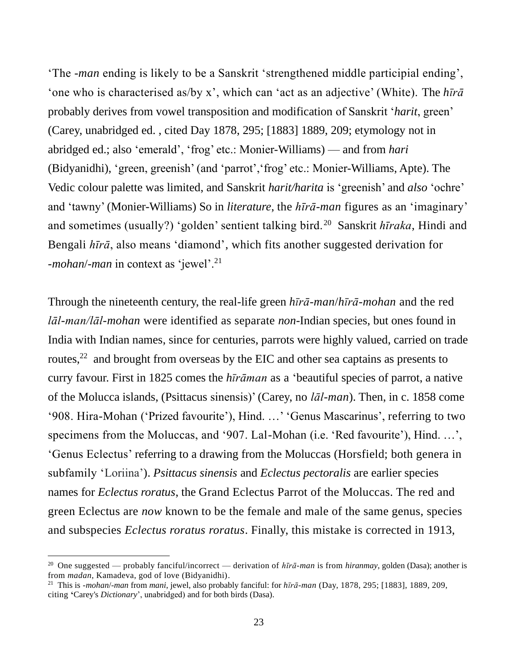'The -*man* ending is likely to be a Sanskrit 'strengthened middle participial ending', 'one who is characterised as/by x', which can 'act as an adjective' (White). The *hīrā* probably derives from vowel transposition and modification of Sanskrit '*harit*, green' (Carey, unabridged ed. , cited Day 1878, 295; [1883] 1889, 209; etymology not in abridged ed.; also 'emerald', 'frog' etc.: Monier-Williams) — and from *hari* (Bidyanidhi), 'green, greenish' (and 'parrot','frog' etc.: Monier-Williams, Apte). The Vedic colour palette was limited, and Sanskrit *harit/harita* is 'greenish' and *also* 'ochre' and 'tawny' (Monier-Williams) So in *literature*, the *hīrā-man* figures as an 'imaginary' and sometimes (usually?) 'golden' sentient talking bird.<sup>20</sup> Sanskrit *hīraka*, Hindi and Bengali *hīrā*, also means 'diamond', which fits another suggested derivation for -*mohan*/-*man* in context as 'jewel'.<sup>21</sup>

Through the nineteenth century, the real-life green *hīrā-man*/*hīrā-mohan* and the red *lāl-man/lāl-mohan* were identified as separate *non*-Indian species, but ones found in India with Indian names, since for centuries, parrots were highly valued, carried on trade routes,<sup>22</sup> and brought from overseas by the EIC and other sea captains as presents to curry favour. First in 1825 comes the *hīrāman* as a 'beautiful species of parrot, a native of the Molucca islands, (Psittacus sinensis)' (Carey, no *lāl-man*). Then, in c. 1858 come '908. Hira-Mohan ('Prized favourite'), Hind. …' 'Genus Mascarinus', referring to two specimens from the Moluccas, and '907. Lal-Mohan (i.e. 'Red favourite'), Hind. …', 'Genus Eclectus' referring to a drawing from the Moluccas (Horsfield; both genera in subfamily 'Loriina'). *Psittacus sinensis* and *Eclectus pectoralis* are earlier species names for *Eclectus roratus*, the Grand Eclectus Parrot of the Moluccas. The red and green Eclectus are *now* known to be the female and male of the same genus, species and subspecies *Eclectus roratus roratus*. Finally, this mistake is corrected in 1913,

<sup>20</sup> One suggested — probably fanciful/incorrect — derivation of *hīrā-man* is from *hiranmay*, golden (Dasa); another is from *madan*, Kamadeva, god of love (Bidyanidhi).

<sup>21</sup> This is -*mohan*/-*man* from *mani*, jewel, also probably fanciful: for *hīrā-man* (Day, 1878, 295; [1883], 1889, 209, citing **'**Carey's *Dictionary*', unabridged) and for both birds (Dasa).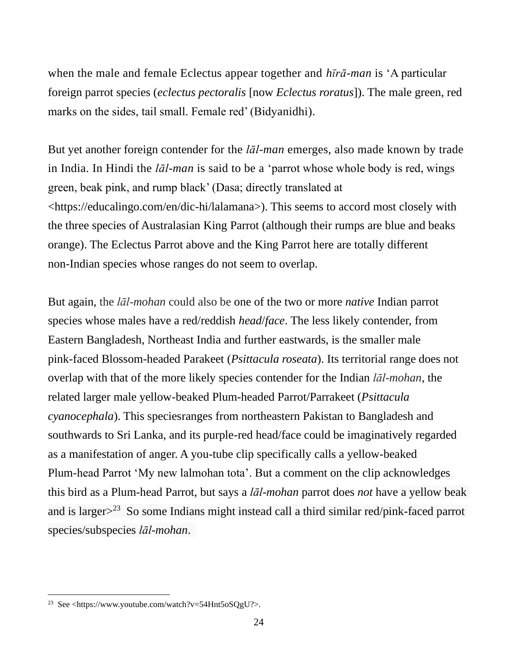when the male and female Eclectus appear together and *hīrā-man* is 'A particular foreign parrot species (*eclectus pectoralis* [now *Eclectus roratus*]). The male green, red marks on the sides, tail small. Female red' (Bidyanidhi).

But yet another foreign contender for the *lāl-man* emerges, also made known by trade in India. In Hindi the *lāl-man* is said to be a 'parrot whose whole body is red, wings green, beak pink, and rump black' (Dasa; directly translated at <https://educalingo.com/en/dic-hi/lalamana>). This seems to accord most closely with the three species of Australasian King Parrot (although their rumps are blue and beaks orange). The Eclectus Parrot above and the King Parrot here are totally different non-Indian species whose ranges do not seem to overlap.

But again, the *lāl-mohan* could also be one of the two or more *native* Indian parrot species whose males have a red/reddish *head*/*face*. The less likely contender, from Eastern [Bangladesh,](https://en.wikipedia.org/wiki/Bangladesh) Northeast India and further eastwards, is the smaller male pink-faced Blossom-headed Parakeet (*Psittacula roseata*). Its territorial range does not overlap with that of the more likely species contender for the Indian *lāl-mohan*, the related larger male yellow-beaked Plum-headed Parrot/Parrakeet (*Psittacula cyanocephala*). This speciesranges from northeastern Pakistan to Bangladesh and southwards to Sri Lanka, and its purple-red head/face could be imaginatively regarded as a manifestation of anger. A you-tube clip specifically calls a yellow-beaked Plum-head Parrot 'My new lalmohan tota'. But a comment on the clip acknowledges this bird as a Plum-head Parrot, but says a *lāl-mohan* parrot does *not* have a yellow beak and is larger $>^{23}$  So some Indians might instead call a third similar red/pink-faced parrot species/subspecies *lāl-mohan*.

<sup>&</sup>lt;sup>23</sup> See [<https://www.youtube.com/watch?v=54Hnt5oSQgU?](https://www.youtube.com/watch?v=54Hnt5oSQgU)>.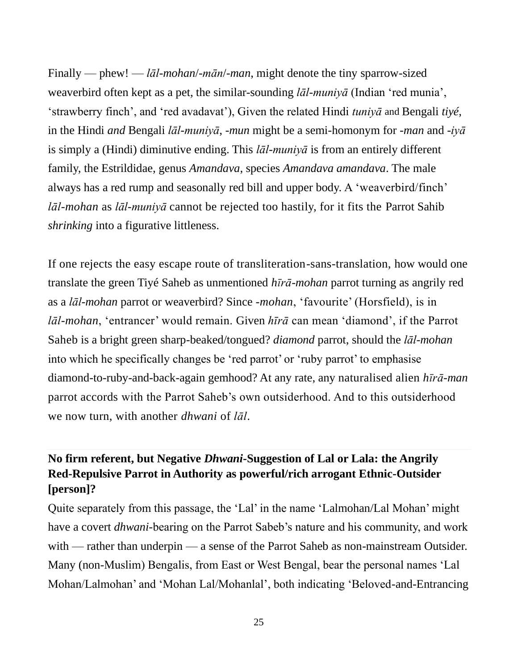Finally — phew! — *lāl-mohan*/-*mān*/-*man*, might denote the tiny sparrow-sized weaverbird often kept as a pet, the similar-sounding *lāl-muniyā* (Indian 'red munia', 'strawberry finch', and 'red avadavat'), Given the related Hindi *tuniyā* and Bengali *tiyé*, in the Hindi *and* Bengali *lāl-muniyā*, -*mun* might be a semi-homonym for -*man* and -*iyā* is simply a (Hindi) diminutive ending. This *lāl-muniyā* is from an entirely different family, the Estrildidae, genus *Amandava*, species *Amandava amandava*. The male always has a red rump and seasonally red bill and upper body. A 'weaverbird/finch' *lāl-mohan* as *lāl-muniyā* cannot be rejected too hastily, for it fits the Parrot Sahib *shrinking* into a figurative littleness.

If one rejects the easy escape route of transliteration-sans-translation, how would one translate the green Tiyé Saheb as unmentioned *hīrā-mohan* parrot turning as angrily red as a *lāl-mohan* parrot or weaverbird? Since *-mohan*, 'favourite' (Horsfield), is in *lāl-mohan*, 'entrancer' would remain. Given *hīrā* can mean 'diamond', if the Parrot Saheb is a bright green sharp-beaked/tongued? *diamond* parrot, should the *lāl-mohan* into which he specifically changes be 'red parrot' or 'ruby parrot' to emphasise diamond-to-ruby-and-back-again gemhood? At any rate, any naturalised alien *hīrā*-*man* parrot accords with the Parrot Saheb's own outsiderhood. And to this outsiderhood we now turn, with another *dhwani* of *lāl*.

## **No firm referent, but Negative** *Dhwani***-Suggestion of Lal or Lala: the Angrily Red-Repulsive Parrot in Authority as powerful/rich arrogant Ethnic-Outsider [person]?**

Quite separately from this passage, the 'Lal' in the name 'Lalmohan/Lal Mohan' might have a covert *dhwani*-bearing on the Parrot Sabeb's nature and his community, and work with — rather than underpin — a sense of the Parrot Saheb as non-mainstream Outsider. Many (non-Muslim) Bengalis, from East or West Bengal, bear the personal names 'Lal Mohan/Lalmohan' and 'Mohan Lal/Mohanlal', both indicating 'Beloved-and-Entrancing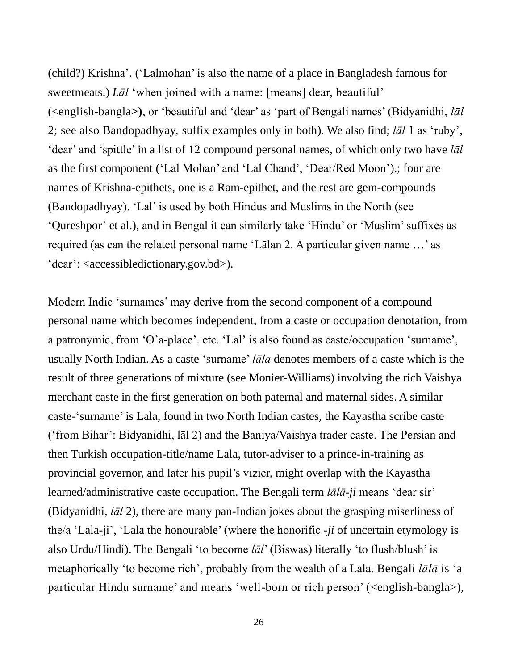(child?) Krishna'. ('Lalmohan' is also the name of a place in Bangladesh famous for sweetmeats.) *Lāl* 'when joined with a name: [means] dear, beautiful' (<english-bangla**>)**, or 'beautiful and 'dear' as 'part of Bengali names' (Bidyanidhi, *lāl*  2; see also Bandopadhyay, suffix examples only in both). We also find; *lāl* 1 as 'ruby', 'dear' and 'spittle' in a list of 12 compound personal names, of which only two have *lāl* as the first component ('Lal Mohan' and 'Lal Chand', 'Dear/Red Moon').; four are names of Krishna-epithets, one is a Ram-epithet, and the rest are gem-compounds (Bandopadhyay). 'Lal' is used by both Hindus and Muslims in the North (see ['Qureshpor'](https://forum.wordreference.com/members/qureshpor.491618/) et al.), and in Bengal it can similarly take 'Hindu' or 'Muslim' suffixes as required (as can the related personal name 'Lālan 2. A particular given name …' as 'dear': <accessibledictionary.gov.bd>).

Modern Indic 'surnames' may derive from the second component of a compound personal name which becomes independent, from a caste or occupation denotation, from a patronymic, from 'O'a-place'. etc. 'Lal' is also found as caste/occupation 'surname', usually North Indian. As a caste 'surname' *lāla* denotes members of a caste which is the result of three generations of mixture (see Monier-Williams) involving the rich Vaishya merchant caste in the first generation on both paternal and maternal sides. A similar caste-'surname' is Lala, found in two North Indian castes, the Kayastha scribe caste ('from Bihar': Bidyanidhi, lāl 2) and the Baniya/Vaishya trader caste. The Persian and then Turkish occupation-title/name Lala, tutor-adviser to a prince-in-training as provincial governor, and later his pupil's vizier, might overlap with the Kayastha learned/administrative caste occupation. The Bengali term *lālā-ji* means 'dear sir' (Bidyanidhi, *lāl* 2), there are many pan-Indian jokes about the grasping miserliness of the/a 'Lala-ji', 'Lala the honourable' (where the honorific *-ji* of uncertain etymology is also Urdu/Hindi). The Bengali 'to become *lāl*' (Biswas) literally 'to flush/blush' is metaphorically 'to become rich', probably from the wealth of a Lala. Bengali *lālā* is 'a particular Hindu surname' and means 'well-born or rich person' (<english-bangla>),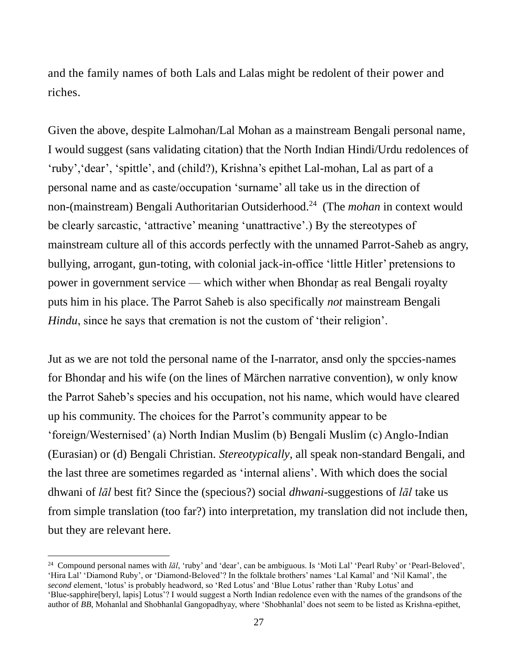and the family names of both Lals and Lalas might be redolent of their power and riches.

Given the above, despite Lalmohan/Lal Mohan as a mainstream Bengali personal name, I would suggest (sans validating citation) that the North Indian Hindi/Urdu redolences of 'ruby','dear', 'spittle', and (child?), Krishna's epithet Lal-mohan, Lal as part of a personal name and as caste/occupation 'surname' all take us in the direction of non-(mainstream) Bengali Authoritarian Outsiderhood.<sup>24</sup> (The *mohan* in context would be clearly sarcastic, 'attractive' meaning 'unattractive'.) By the stereotypes of mainstream culture all of this accords perfectly with the unnamed Parrot-Saheb as angry, bullying, arrogant, gun-toting, with colonial jack-in-office 'little Hitler' pretensions to power in government service — which wither when Bhondaṛ as real Bengali royalty puts him in his place. The Parrot Saheb is also specifically *not* mainstream Bengali *Hindu*, since he says that cremation is not the custom of 'their religion'.

Jut as we are not told the personal name of the I-narrator, ansd only the spccies-names for Bhondaṛ and his wife (on the lines of Märchen narrative convention), w only know the Parrot Saheb's species and his occupation, not his name, which would have cleared up his community. The choices for the Parrot's community appear to be 'foreign/Westernised' (a) North Indian Muslim (b) Bengali Muslim (c) Anglo-Indian (Eurasian) or (d) Bengali Christian. *Stereotypically*, all speak non-standard Bengali, and the last three are sometimes regarded as 'internal aliens'. With which does the social dhwani of *lāl* best fit? Since the (specious?) social *dhwani*-suggestions of *lāl* take us from simple translation (too far?) into interpretation, my translation did not include then, but they are relevant here.

<sup>24</sup> Compound personal names with *lāl*, 'ruby' and 'dear', can be ambiguous. Is 'Moti Lal' 'Pearl Ruby' or 'Pearl-Beloved', 'Hira Lal' 'Diamond Ruby', or 'Diamond-Beloved'? In the folktale brothers' names 'Lal Kamal' and 'Nil Kamal', the *second* element, 'lotus' is probably headword, so 'Red Lotus' and 'Blue Lotus' rather than 'Ruby Lotus' and 'Blue-sapphire[beryl, lapis] Lotus'? I would suggest a North Indian redolence even with the names of the grandsons of the author of *BB*, Mohanlal and Shobhanlal Gangopadhyay, where 'Shobhanlal' does not seem to be listed as Krishna-epithet,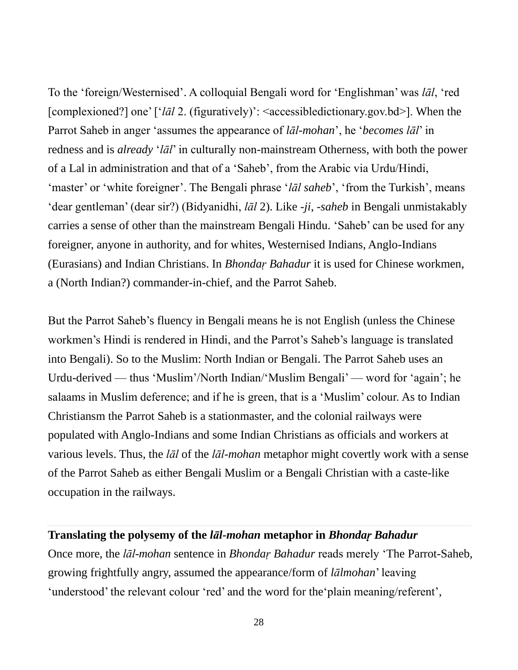To the 'foreign/Westernised'. A colloquial Bengali word for 'Englishman' was *lāl*, 'red [complexioned?] one' ['*lāl* 2. (figuratively)': <accessibledictionary.gov.bd>]. When the Parrot Saheb in anger 'assumes the appearance of *lāl-mohan*', he '*becomes lāl*' in redness and is *already* '*lāl*' in culturally non-mainstream Otherness, with both the power of a Lal in administration and that of a 'Saheb', from the Arabic via Urdu/Hindi, 'master' or 'white foreigner'. The Bengali phrase '*lāl saheb*', 'from the Turkish', means 'dear gentleman' (dear sir?) (Bidyanidhi, *lāl* 2). Like -*ji*, -*saheb* in Bengali unmistakably carries a sense of other than the mainstream Bengali Hindu. 'Saheb' can be used for any foreigner, anyone in authority, and for whites, Westernised Indians, Anglo-Indians (Eurasians) and Indian Christians. In *Bhondaṛ Bahadur* it is used for Chinese workmen, a (North Indian?) commander-in-chief, and the Parrot Saheb.

But the Parrot Saheb's fluency in Bengali means he is not English (unless the Chinese workmen's Hindi is rendered in Hindi, and the Parrot's Saheb's language is translated into Bengali). So to the Muslim: North Indian or Bengali. The Parrot Saheb uses an Urdu-derived — thus 'Muslim'/North Indian/'Muslim Bengali' — word for 'again'; he salaams in Muslim deference; and if he is green, that is a 'Muslim' colour. As to Indian Christiansm the Parrot Saheb is a stationmaster, and the colonial railways were populated with Anglo-Indians and some Indian Christians as officials and workers at various levels. Thus, the *lāl* of the *lāl-mohan* metaphor might covertly work with a sense of the Parrot Saheb as either Bengali Muslim or a Bengali Christian with a caste-like occupation in the railways.

#### **Translating the polysemy of the** *lāl-mohan* **metaphor in** *Bhondaṛ Bahadur*

Once more, the *lāl-mohan* sentence in *Bhondaṛ Bahadur* reads merely 'The Parrot-Saheb, growing frightfully angry, assumed the appearance/form of *lālmohan*' leaving 'understood' the relevant colour 'red' and the word for the'plain meaning/referent',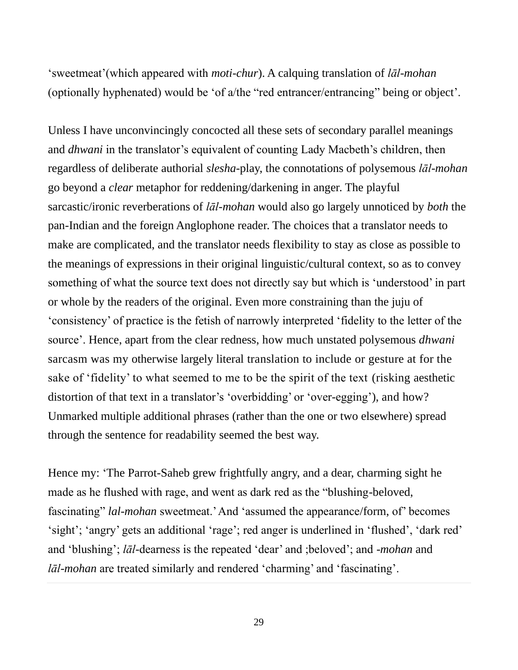'sweetmeat'(which appeared with *moti-chur*). A calquing translation of *lāl-mohan* (optionally hyphenated) would be 'of a/the "red entrancer/entrancing" being or object'.

Unless I have unconvincingly concocted all these sets of secondary parallel meanings and *dhwani* in the translator's equivalent of counting Lady Macbeth's children, then regardless of deliberate authorial *slesha*-play, the connotations of polysemous *lāl-mohan* go beyond a *clear* metaphor for reddening/darkening in anger. The playful sarcastic/ironic reverberations of *lāl-mohan* would also go largely unnoticed by *both* the pan-Indian and the foreign Anglophone reader. The choices that a translator needs to make are complicated, and the translator needs flexibility to stay as close as possible to the meanings of expressions in their original linguistic/cultural context, so as to convey something of what the source text does not directly say but which is 'understood' in part or whole by the readers of the original. Even more constraining than the juju of 'consistency' of practice is the fetish of narrowly interpreted 'fidelity to the letter of the source'. Hence, apart from the clear redness, how much unstated polysemous *dhwani* sarcasm was my otherwise largely literal translation to include or gesture at for the sake of 'fidelity' to what seemed to me to be the spirit of the text (risking aesthetic distortion of that text in a translator's 'overbidding' or 'over-egging'), and how? Unmarked multiple additional phrases (rather than the one or two elsewhere) spread through the sentence for readability seemed the best way.

Hence my: 'The Parrot-Saheb grew frightfully angry, and a dear, charming sight he made as he flushed with rage, and went as dark red as the "blushing-beloved, fascinating" *lal-mohan* sweetmeat.' And 'assumed the appearance/form, of' becomes 'sight'; 'angry' gets an additional 'rage'; red anger is underlined in 'flushed', 'dark red' and 'blushing'; *lāl*-dearness is the repeated 'dear' and ;beloved'; and -*mohan* and *lāl-mohan* are treated similarly and rendered 'charming' and 'fascinating'.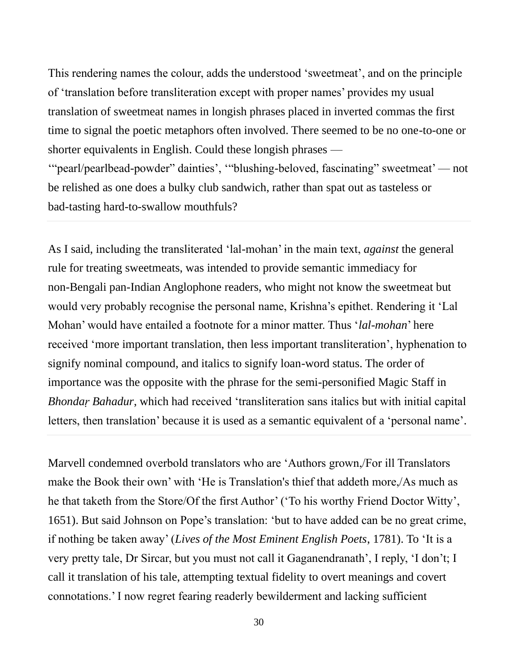This rendering names the colour, adds the understood 'sweetmeat', and on the principle of 'translation before transliteration except with proper names' provides my usual translation of sweetmeat names in longish phrases placed in inverted commas the first time to signal the poetic metaphors often involved. There seemed to be no one-to-one or shorter equivalents in English. Could these longish phrases —

'"pearl/pearlbead-powder" dainties', '"blushing-beloved, fascinating" sweetmeat' — not be relished as one does a bulky club sandwich, rather than spat out as tasteless or bad-tasting hard-to-swallow mouthfuls?

As I said, including the transliterated 'lal-mohan' in the main text, *against* the general rule for treating sweetmeats, was intended to provide semantic immediacy for non-Bengali pan-Indian Anglophone readers, who might not know the sweetmeat but would very probably recognise the personal name, Krishna's epithet. Rendering it 'Lal Mohan' would have entailed a footnote for a minor matter. Thus '*lal-mohan*' here received 'more important translation, then less important transliteration', hyphenation to signify nominal compound, and italics to signify loan-word status. The order of importance was the opposite with the phrase for the semi-personified Magic Staff in *Bhondaṛ Bahadur*, which had received 'transliteration sans italics but with initial capital letters, then translation' because it is used as a semantic equivalent of a 'personal name'.

Marvell condemned overbold translators who are 'Authors grown,/For ill Translators make the Book their own' with 'He is Translation's thief that addeth more,/As much as he that taketh from the Store/Of the first Author' ('To his worthy Friend Doctor Witty', 1651). But said Johnson on Pope's translation: 'but to have added can be no great crime, if nothing be taken away' (*Lives of the Most Eminent English Poets*, 1781). To 'It is a very pretty tale, Dr Sircar, but you must not call it Gaganendranath', I reply, 'I don't; I call it translation of his tale, attempting textual fidelity to overt meanings and covert connotations.' I now regret fearing readerly bewilderment and lacking sufficient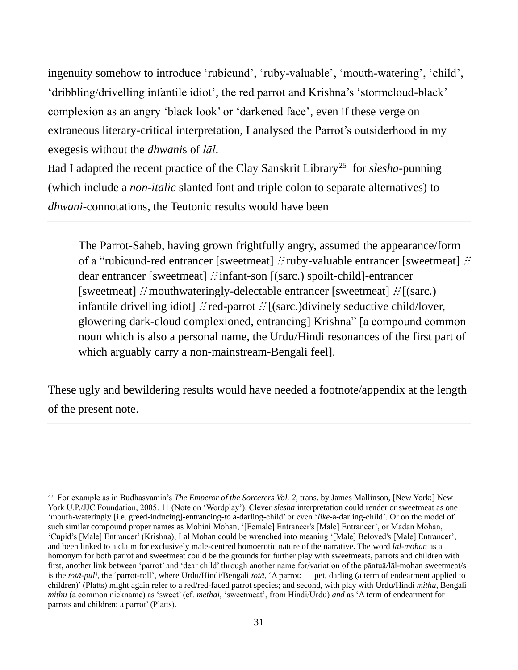ingenuity somehow to introduce 'rubicund', 'ruby-valuable', 'mouth-watering', 'child', 'dribbling/drivelling infantile idiot', the red parrot and Krishna's 'stormcloud-black' complexion as an angry 'black look' or 'darkened face', even if these verge on extraneous literary-critical interpretation, I analysed the Parrot's outsiderhood in my exegesis without the *dhwani*s of *lāl*.

Had I adapted the recent practice of the Clay Sanskrit Library<sup>25</sup> for *slesha*-punning (which include a *non-italic* slanted font and triple colon to separate alternatives) to *dhwani*-connotations, the Teutonic results would have been

The Parrot-Saheb, having grown frightfully angry, assumed the appearance/form of a "rubicund-red entrancer [sweetmeat] ∴ ruby-valuable entrancer [sweetmeat] ∴ dear entrancer [sweetmeat] ∴ infant-son [(sarc.) spoilt-child]-entrancer [sweetmeat]  $\therefore$  mouthwateringly-delectable entrancer [sweetmeat]  $\therefore$  [(sarc.) infantile drivelling idiot]  $\therefore$  red-parrot  $\therefore$  [(sarc.)divinely seductive child/lover, glowering dark-cloud complexioned, entrancing] Krishna" [a compound common noun which is also a personal name, the Urdu/Hindi resonances of the first part of which arguably carry a non-mainstream-Bengali feel].

These ugly and bewildering results would have needed a footnote/appendix at the length of the present note.

<sup>25</sup> For example as in Budhasvamin's *The Emperor of the Sorcerers Vol. 2*, trans. by James Mallinson, [New York:] New York U.P./JJC Foundation, 2005. 11 (Note on 'Wordplay'). Clever *slesha* interpretation could render or sweetmeat as one 'mouth-wateringly [i.e. greed-inducing]-entrancing-*to* a-darling-child' or even '*like*-a-darling-child'. Or on the model of such similar compound proper names as Mohini Mohan, '[Female] Entrancer's [Male] Entrancer', or Madan Mohan, 'Cupid's [Male] Entrancer' (Krishna), Lal Mohan could be wrenched into meaning '[Male] Beloved's [Male] Entrancer', and been linked to a claim for exclusively male-centred homoerotic nature of the narrative. The word *lāl-mohan* as a homonym for both parrot and sweetmeat could be the grounds for further play with sweetmeats, parrots and children with first, another link between 'parrot' and 'dear child' through another name for/variation of the pāntuā*/*lāl-mohan sweetmeat/s is the *totā-puli*, the 'parrot-roll', where Urdu/Hindi/Bengali *totā*, 'A parrot; — pet, darling (a term of endearment applied to children)' (Platts) might again refer to a red/red-faced parrot species; and second, with play with Urdu/Hindi *mithu*, Bengali *mithu* (a common nickname) as 'sweet' (cf. *methai*, 'sweetmeat', from Hindi/Urdu) *and* as 'A term of endearment for parrots and children; a parrot' (Platts).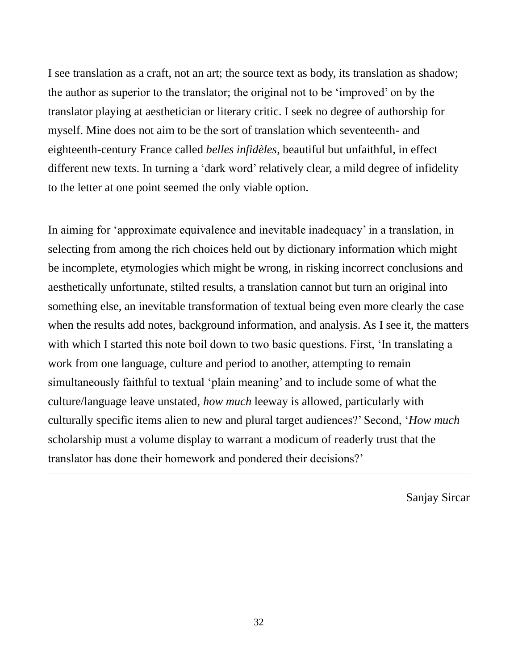I see translation as a craft, not an art; the source text as body, its translation as shadow; the author as superior to the translator; the original not to be 'improved' on by the translator playing at aesthetician or literary critic. I seek no degree of authorship for myself. Mine does not aim to be the sort of translation which seventeenth- and eighteenth-century France called *belles infidèles*, beautiful but unfaithful, in effect different new texts. In turning a 'dark word' relatively clear, a mild degree of infidelity to the letter at one point seemed the only viable option.

In aiming for 'approximate equivalence and inevitable inadequacy' in a translation, in selecting from among the rich choices held out by dictionary information which might be incomplete, etymologies which might be wrong, in risking incorrect conclusions and aesthetically unfortunate, stilted results, a translation cannot but turn an original into something else, an inevitable transformation of textual being even more clearly the case when the results add notes, background information, and analysis. As I see it, the matters with which I started this note boil down to two basic questions. First, 'In translating a work from one language, culture and period to another, attempting to remain simultaneously faithful to textual 'plain meaning' and to include some of what the culture/language leave unstated, *how much* leeway is allowed, particularly with culturally specific items alien to new and plural target audiences?' Second, '*How much* scholarship must a volume display to warrant a modicum of readerly trust that the translator has done their homework and pondered their decisions?'

Sanjay Sircar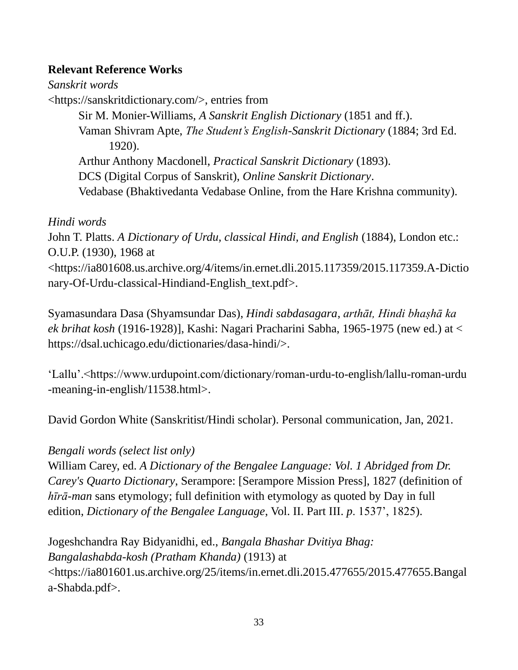#### **Relevant Reference Works**

*Sanskrit words* <https://sanskritdictionary.com/>, entries from Sir M. Monier-Williams, *A Sanskrit English Dictionary* (1851 and ff.). Vaman Shivram Apte, *The Student's English-Sanskrit Dictionary* (1884; 3rd Ed. 1920). Arthur Anthony Macdonell, *Practical Sanskrit Dictionary* (1893). DCS (Digital Corpus of Sanskrit), *Online Sanskrit Dictionary*. Vedabase (Bhaktivedanta Vedabase Online, from the Hare Krishna community).

#### *Hindi words*

John T. Platts. *A Dictionary of Urdu, classical Hindi, and English* (1884), London etc.: O.U.P. (1930), 1968 at <https://ia801608.us.archive.org/4/items/in.ernet.dli.2015.117359/2015.117359.A-Dictio nary-Of-Urdu-classical-Hindiand-English\_text.pdf>.

Syamasundara Dasa (Shyamsundar Das), *Hindi sabdasagara*, *arthāt, Hindi bhaṣhā ka ek brihat kosh* (1916-1928)], Kashi: Nagari Pracharini Sabha, 1965-1975 (new ed.) at < https://dsal.uchicago.edu/dictionaries/dasa-hindi/>.

'Lallu'.<https://www.urdupoint.com/dictionary/roman-urdu-to-english/lallu-roman-urdu -meaning-in-english/11538.html>.

David Gordon White (Sanskritist/Hindi scholar). Personal communication, Jan, 2021.

#### *Bengali words (select list only)*

William Carey, ed. *A Dictionary of the Bengalee Language: Vol. 1 Abridged from Dr. Carey's Quarto Dictionary*, Serampore: [Serampore Mission Press], 1827 (definition of *hīrā-man* sans etymology; full definition with etymology as quoted by Day in full edition, *Dictionary of the Bengalee Language*, Vol. II. Part III. *p*. 1537', 1825).

Jogeshchandra Ray Bidyanidhi, ed., *Bangala Bhashar Dvitiya Bhag: Bangalashabda-kosh (Pratham Khanda)* (1913) at <https://ia801601.us.archive.org/25/items/in.ernet.dli.2015.477655/2015.477655.Bangal a-Shabda.pdf>.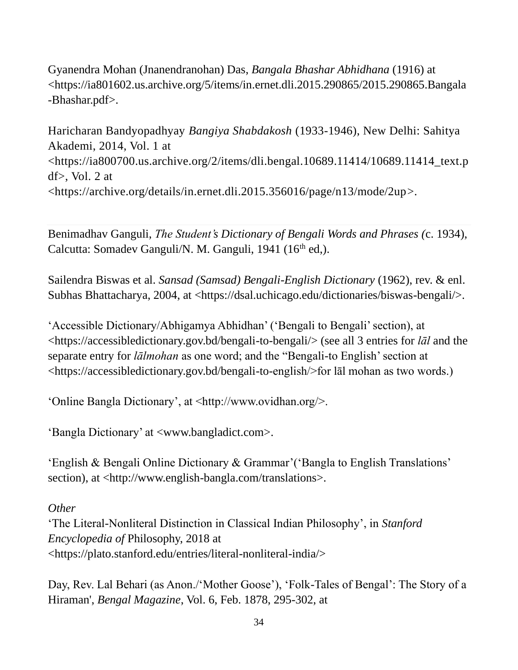Gyanendra Mohan (Jnanendranohan) Das, *Bangala Bhashar Abhidhana* (1916) at <https://ia801602.us.archive.org/5/items/in.ernet.dli.2015.290865/2015.290865.Bangala -Bhashar.pdf>.

Haricharan Bandyopadhyay *Bangiya Shabdakosh* (1933-1946), New Delhi: Sahitya Akademi, 2014, Vol. 1 at [<https://ia800700.us.archive.org/2/items/dli.bengal.10689.11414/10689.11414\\_text.p](https://ia800700.us.archive.org/2/items/dli.bengal.10689.11414/10689.11414_text.pdf%3E) df $>$ , Vol. 2 at [<https://archive.org/details/in.ernet.dli.2015.356016/page/n13/mode/2up>](https://archive.org/details/in.ernet.dli.2015.356016/page/n13/mode/2up).

Benimadhav Ganguli, *The Student's Dictionary of Bengali Words and Phrases (*c. 1934), Calcutta: Somadev Ganguli/N. M. Ganguli, 1941 (16<sup>th</sup> ed.).

Sailendra Biswas et al. *Sansad (Samsad) Bengali-English Dictionary* (1962), rev. & enl. Subhas Bhattacharya, 2004, at <https://dsal.uchicago.edu/dictionaries/biswas-bengali/>.

'Accessible Dictionary/Abhigamya Abhidhan' ('Bengali to Bengali' section), at <https://accessibledictionary.gov.bd/bengali-to-bengali/> (see all 3 entries for *lāl* and the separate entry for *lālmohan* as one word; and the "Bengali-to English' section at <https://accessibledictionary.gov.bd/bengali-to-english/>for lāl mohan as two words.)

'Online Bangla Dictionary', at <http://www.ovidhan.org/>.

'Bangla Dictionary' at <www.bangladict.com>.

'English & Bengali Online Dictionary & Grammar'('Bangla to English Translations' section), at <http://www.english-bangla.com/translations>.

*Other*

'The Literal-Nonliteral Distinction in Classical Indian Philosophy', in *Stanford Encyclopedia of* Philosophy, 2018 at <https://plato.stanford.edu/entries/literal-nonliteral-india/>

Day, Rev. Lal Behari (as Anon./'Mother Goose'), 'Folk-Tales of Bengal': The Story of a Hiraman', *Bengal Magazine*, Vol. 6, Feb. 1878, 295-302, at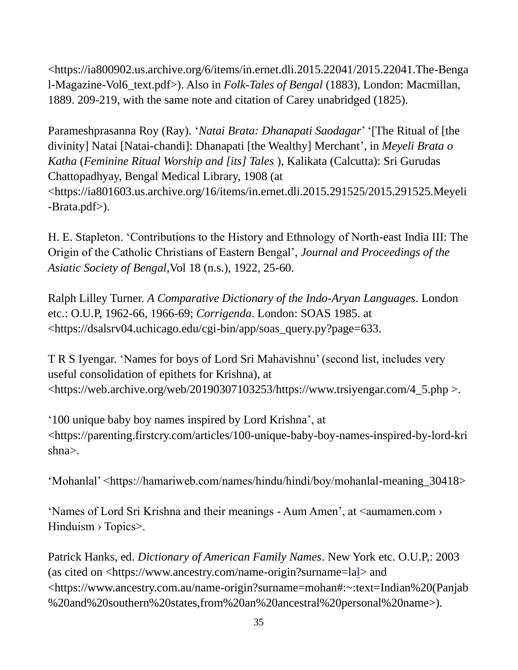[<https://ia800902.us.archive.org/6/items/in.ernet.dli.2015.22041/2015.22041.The-Benga](https://ia800902.us.archive.org/6/items/in.ernet.dli.2015.22041/2015.22041.The-Bengal-Magazine-Vol6_text.pdf) [l-Magazine-Vol6\\_text.pdf>](https://ia800902.us.archive.org/6/items/in.ernet.dli.2015.22041/2015.22041.The-Bengal-Magazine-Vol6_text.pdf)). Also in *Folk-Tales of Bengal* (1883), London: Macmillan, 1889. 209-219, with the same note and citation of Carey unabridged (1825).

Parameshprasanna Roy (Ray). '*Natai Brata: Dhanapati Saodagar*' '[The Ritual of [the divinity] Natai [Natai-chandi]: Dhanapati [the Wealthy] Merchant', in *Meyeli Brata o Katha* (*Feminine Ritual Worship and [its] Tales* ), Kalikata (Calcutta): Sri Gurudas Chattopadhyay, Bengal Medical Library, 1908 (at <https://ia801603.us.archive.org/16/items/in.ernet.dli.2015.291525/2015.291525.Meyeli -Brata.pdf>).

H. E. Stapleton. 'Contributions to the History and Ethnology of North-east India III: The Origin of the Catholic Christians of Eastern Bengal', *Journal and Proceedings of the Asiatic Society of Bengal*,Vol 18 (n.s.), 1922, 25-60.

Ralph Lilley Turner. *A Comparative Dictionary of the Indo-Aryan Languages*. London etc.: O.U.P, 1962-66, 1966-69; *Corrigenda*. London: SOAS 1985. at <https://dsalsrv04.uchicago.edu/cgi-bin/app/soas\_query.py?page=633.

T R S Iyengar. 'Names for boys of Lord Sri Mahavishnu' (second list, includes very useful consolidation of epithets for Krishna), at <https://web.archive.org/web/20190307103253/https://www.trsiyengar.com/4\_5.php >.

['100 unique baby boy names inspired by Lord Krishna'](https://parenting.firstcry.com/articles/100-unique-baby-boy-names-inspired-by-lord-krishna), at [<https://parenting.firstcry.com/articles/100-unique-baby-boy-names-inspired-by-lord-kri](https://parenting.firstcry.com/articles/100-unique-baby-boy-names-inspired-by-lord-krishna) [shna>](https://parenting.firstcry.com/articles/100-unique-baby-boy-names-inspired-by-lord-krishna).

'Mohanlal' <https://hamariweb.com/names/hindu/hindi/boy/mohanlal-meaning\_30418>

'Names of Lord Sri Krishna and their meanings - Aum Amen', at <aumamen.com › Hinduism > Topics>.

Patrick Hanks, ed. *Dictionary of American Family Names*. New York etc. O.U.P,: 2003 (as cited on [<https://www.ancestry.com/name-origin?surname=lal>](https://www.ancestry.com/name-origin?surname=lal) and <https://www.ancestry.com.au/name-origin?surname=mohan#:~:text=Indian%20(Panjab %20and%20southern%20states,from%20an%20ancestral%20personal%20name>).